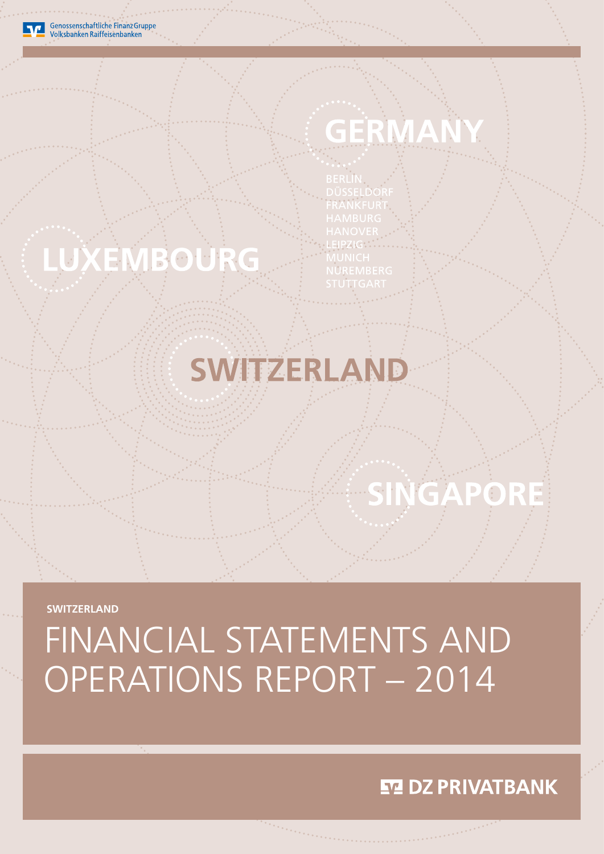# **ET DZ PRIVATBANK**

# FINANCIAL STATEMENTS AND OPERATIONS REPORT – 2014

SWITZERLAND

**SWITZERLAND** 

# þ

# **CEMBOUR**

# ERI

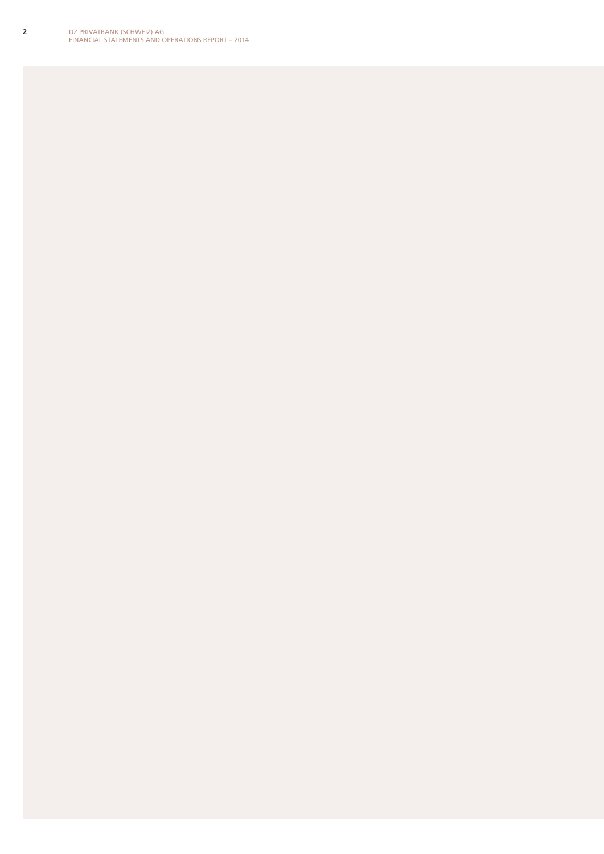DZ PRIVATBANK (SCHWEIZ) AG FINANCIAL STATEMENTS AND OPERATIONS REPORT – 2014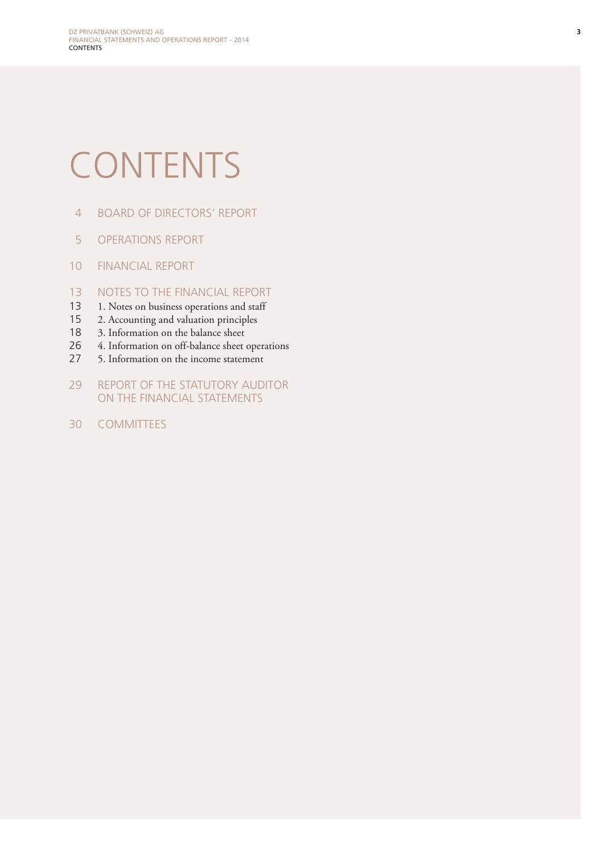# CONTENTS

- 4 BOARD OF DIRECTORS' REPORT
- 5 OPERATIONS REPORT
- 10 FINANCIAL REPORT
- 13 NOTES TO THE FINANCIAL REPORT<br>13 1. Notes on business operations and staff
- 1. Notes on business operations and staff
- 15 2. Accounting and valuation principles
- 18 3. Information on the balance sheet
- 26 4. Information on off-balance sheet operations
- 27 5. Information on the income statement
- 29 REPORT OF THE STATUTORY AUDITOR ON THE FINANCIAL STATEMENTS
- 30 COMMITTEES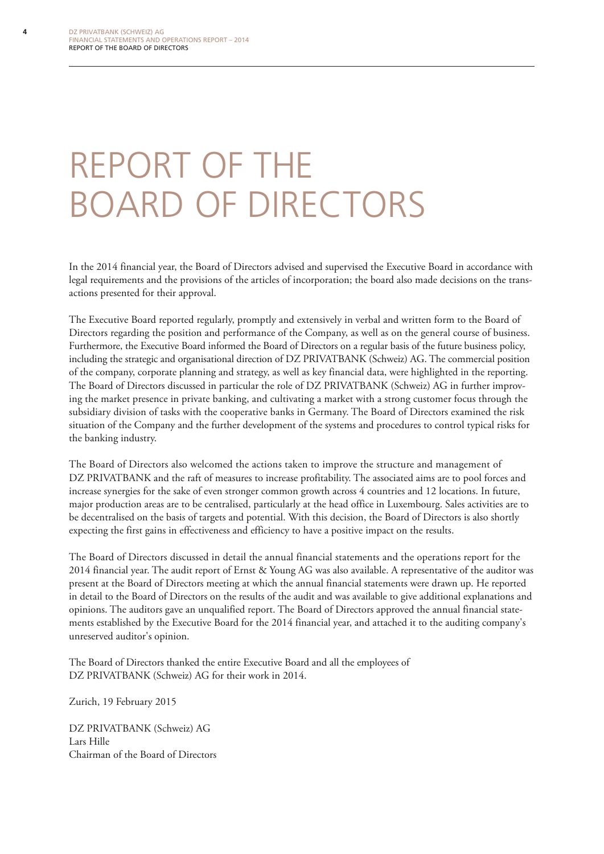# REPORT OF THE BOARD OF DIRECTORS

In the 2014 financial year, the Board of Directors advised and supervised the Executive Board in accordance with legal requirements and the provisions of the articles of incorporation; the board also made decisions on the transactions presented for their approval.

The Executive Board reported regularly, promptly and extensively in verbal and written form to the Board of Directors regarding the position and performance of the Company, as well as on the general course of business. Furthermore, the Executive Board informed the Board of Directors on a regular basis of the future business policy, including the strategic and organisational direction of DZ PRIVATBANK (Schweiz) AG. The commercial position of the company, corporate planning and strategy, as well as key financial data, were highlighted in the reporting. The Board of Directors discussed in particular the role of DZ PRIVATBANK (Schweiz) AG in further improving the market presence in private banking, and cultivating a market with a strong customer focus through the subsidiary division of tasks with the cooperative banks in Germany. The Board of Directors examined the risk situation of the Company and the further development of the systems and procedures to control typical risks for the banking industry.

The Board of Directors also welcomed the actions taken to improve the structure and management of DZ PRIVATBANK and the raft of measures to increase profitability. The associated aims are to pool forces and increase synergies for the sake of even stronger common growth across 4 countries and 12 locations. In future, major production areas are to be centralised, particularly at the head office in Luxembourg. Sales activities are to be decentralised on the basis of targets and potential. With this decision, the Board of Directors is also shortly expecting the first gains in effectiveness and efficiency to have a positive impact on the results.

The Board of Directors discussed in detail the annual financial statements and the operations report for the 2014 financial year. The audit report of Ernst & Young AG was also available. A representative of the auditor was present at the Board of Directors meeting at which the annual financial statements were drawn up. He reported in detail to the Board of Directors on the results of the audit and was available to give additional explanations and opinions. The auditors gave an unqualified report. The Board of Directors approved the annual financial statements established by the Executive Board for the 2014 financial year, and attached it to the auditing company's unreserved auditor's opinion.

The Board of Directors thanked the entire Executive Board and all the employees of DZ PRIVATBANK (Schweiz) AG for their work in 2014.

Zurich, 19 February 2015

DZ PRIVATBANK (Schweiz) AG Lars Hille Chairman of the Board of Directors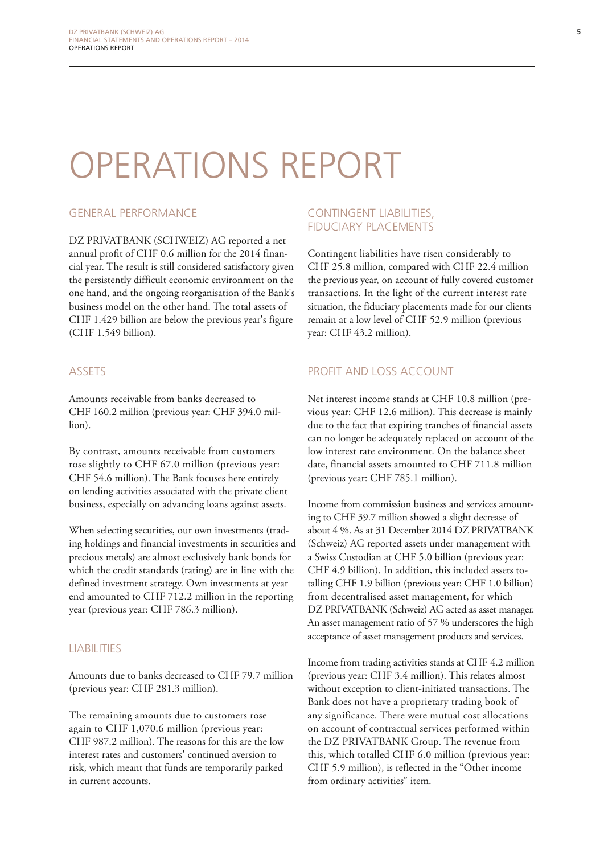# OPERATIONS REPORT

# GENERAL PERFORMANCE

DZ PRIVATBANK (SCHWEIZ) AG reported a net annual profit of CHF 0.6 million for the 2014 financial year. The result is still considered satisfactory given the persistently difficult economic environment on the one hand, and the ongoing reorganisation of the Bank's business model on the other hand. The total assets of CHF 1.429 billion are below the previous year's figure (CHF 1.549 billion).

# **ASSETS**

Amounts receivable from banks decreased to CHF 160.2 million (previous year: CHF 394.0 million).

By contrast, amounts receivable from customers rose slightly to CHF 67.0 million (previous year: CHF 54.6 million). The Bank focuses here entirely on lending activities associated with the private client business, especially on advancing loans against assets.

When selecting securities, our own investments (trading holdings and financial investments in securities and precious metals) are almost exclusively bank bonds for which the credit standards (rating) are in line with the defined investment strategy. Own investments at year end amounted to CHF 712.2 million in the reporting year (previous year: CHF 786.3 million).

# LIABILITIES

Amounts due to banks decreased to CHF 79.7 million (previous year: CHF 281.3 million).

The remaining amounts due to customers rose again to CHF 1,070.6 million (previous year: CHF 987.2 million). The reasons for this are the low interest rates and customers' continued aversion to risk, which meant that funds are temporarily parked in current accounts.

# CONTINGENT LIABILITIES, FIDUCIARY PLACEMENTS

Contingent liabilities have risen considerably to CHF 25.8 million, compared with CHF 22.4 million the previous year, on account of fully covered customer transactions. In the light of the current interest rate situation, the fiduciary placements made for our clients remain at a low level of CHF 52.9 million (previous year: CHF 43.2 million).

# PROFIT AND LOSS ACCOUNT

Net interest income stands at CHF 10.8 million (previous year: CHF 12.6 million). This decrease is mainly due to the fact that expiring tranches of financial assets can no longer be adequately replaced on account of the low interest rate environment. On the balance sheet date, financial assets amounted to CHF 711.8 million (previous year: CHF 785.1 million).

Income from commission business and services amounting to CHF 39.7 million showed a slight decrease of about 4 %. As at 31 December 2014 DZ PRIVATBANK (Schweiz) AG reported assets under management with a Swiss Custodian at CHF 5.0 billion (previous year: CHF 4.9 billion). In addition, this included assets totalling CHF 1.9 billion (previous year: CHF 1.0 billion) from decentralised asset management, for which DZ PRIVATBANK (Schweiz) AG acted as asset manager. An asset management ratio of 57 % underscores the high acceptance of asset management products and services.

Income from trading activities stands at CHF 4.2 million (previous year: CHF 3.4 million). This relates almost without exception to client-initiated transactions. The Bank does not have a proprietary trading book of any significance. There were mutual cost allocations on account of contractual services performed within the DZ PRIVATBANK Group. The revenue from this, which totalled CHF 6.0 million (previous year: CHF 5.9 million), is reflected in the "Other income from ordinary activities" item.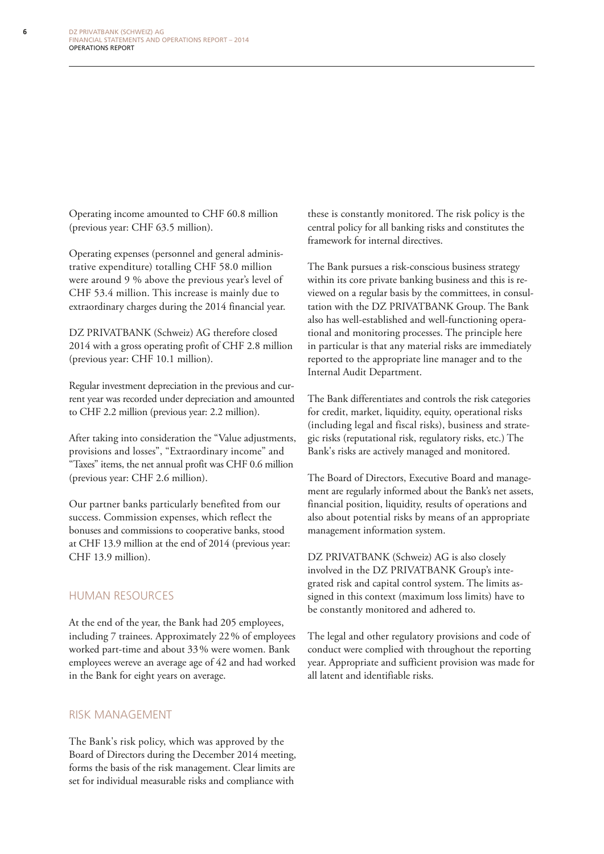Operating income amounted to CHF 60.8 million (previous year: CHF 63.5 million).

Operating expenses (personnel and general administrative expenditure) totalling CHF 58.0 million were around 9 % above the previous year's level of CHF 53.4 million. This increase is mainly due to extraordinary charges during the 2014 financial year.

DZ PRIVATBANK (Schweiz) AG therefore closed 2014 with a gross operating profit of CHF 2.8 million (previous year: CHF 10.1 million).

Regular investment depreciation in the previous and current year was recorded under depreciation and amounted to CHF 2.2 million (previous year: 2.2 million).

After taking into consideration the "Value adjustments, provisions and losses", "Extraordinary income" and "Taxes" items, the net annual profit was CHF 0.6 million (previous year: CHF 2.6 million).

Our partner banks particularly benefited from our success. Commission expenses, which reflect the bonuses and commissions to cooperative banks, stood at CHF 13.9 million at the end of 2014 (previous year: CHF 13.9 million).

# HUMAN RESOURCES

At the end of the year, the Bank had 205 employees, including 7 trainees. Approximately 22% of employees worked part-time and about 33% were women. Bank employees wereve an average age of 42 and had worked in the Bank for eight years on average.

# RISK MANAGEMENT

The Bank's risk policy, which was approved by the Board of Directors during the December 2014 meeting, forms the basis of the risk management. Clear limits are set for individual measurable risks and compliance with

these is constantly monitored. The risk policy is the central policy for all banking risks and constitutes the framework for internal directives.

The Bank pursues a risk-conscious business strategy within its core private banking business and this is reviewed on a regular basis by the committees, in consultation with the DZ PRIVATBANK Group. The Bank also has well-established and well-functioning operational and monitoring processes. The principle here in particular is that any material risks are immediately reported to the appropriate line manager and to the Internal Audit Department.

The Bank differentiates and controls the risk categories for credit, market, liquidity, equity, operational risks (including legal and fiscal risks), business and strategic risks (reputational risk, regulatory risks, etc.) The Bank's risks are actively managed and monitored.

The Board of Directors, Executive Board and management are regularly informed about the Bank's net assets, financial position, liquidity, results of operations and also about potential risks by means of an appropriate management information system.

DZ PRIVATBANK (Schweiz) AG is also closely involved in the DZ PRIVATBANK Group's integrated risk and capital control system. The limits assigned in this context (maximum loss limits) have to be constantly monitored and adhered to.

The legal and other regulatory provisions and code of conduct were complied with throughout the reporting year. Appropriate and sufficient provision was made for all latent and identifiable risks.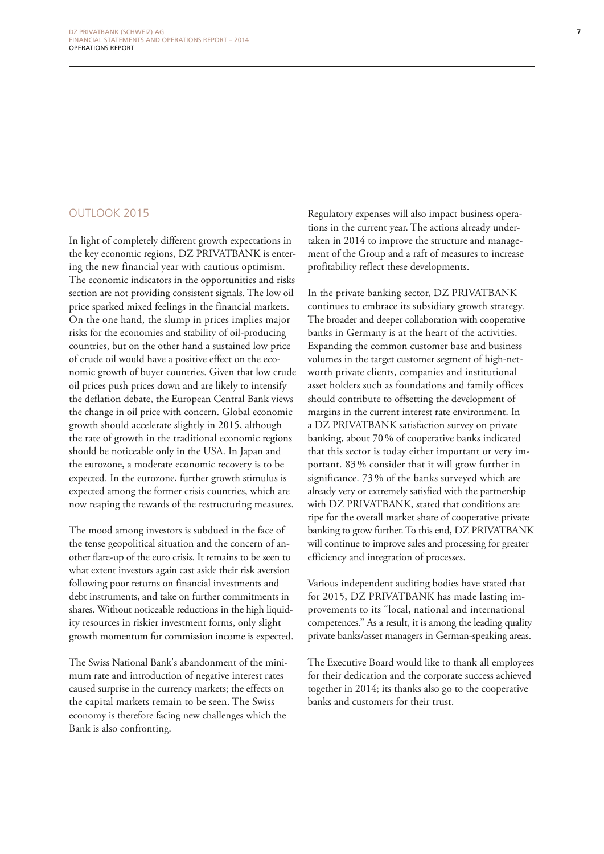# OUTLOOK 2015

In light of completely different growth expectations in the key economic regions, DZ PRIVATBANK is entering the new financial year with cautious optimism. The economic indicators in the opportunities and risks section are not providing consistent signals. The low oil price sparked mixed feelings in the financial markets. On the one hand, the slump in prices implies major risks for the economies and stability of oil-producing countries, but on the other hand a sustained low price of crude oil would have a positive effect on the economic growth of buyer countries. Given that low crude oil prices push prices down and are likely to intensify the deflation debate, the European Central Bank views the change in oil price with concern. Global economic growth should accelerate slightly in 2015, although the rate of growth in the traditional economic regions should be noticeable only in the USA. In Japan and the eurozone, a moderate economic recovery is to be expected. In the eurozone, further growth stimulus is expected among the former crisis countries, which are now reaping the rewards of the restructuring measures.

The mood among investors is subdued in the face of the tense geopolitical situation and the concern of another flare-up of the euro crisis. It remains to be seen to what extent investors again cast aside their risk aversion following poor returns on financial investments and debt instruments, and take on further commitments in shares. Without noticeable reductions in the high liquidity resources in riskier investment forms, only slight growth momentum for commission income is expected.

The Swiss National Bank's abandonment of the minimum rate and introduction of negative interest rates caused surprise in the currency markets; the effects on the capital markets remain to be seen. The Swiss economy is therefore facing new challenges which the Bank is also confronting.

Regulatory expenses will also impact business operations in the current year. The actions already undertaken in 2014 to improve the structure and management of the Group and a raft of measures to increase profitability reflect these developments.

In the private banking sector, DZ PRIVATBANK continues to embrace its subsidiary growth strategy. The broader and deeper collaboration with cooperative banks in Germany is at the heart of the activities. Expanding the common customer base and business volumes in the target customer segment of high-networth private clients, companies and institutional asset holders such as foundations and family offices should contribute to offsetting the development of margins in the current interest rate environment. In a DZ PRIVATBANK satisfaction survey on private banking, about 70% of cooperative banks indicated that this sector is today either important or very important. 83 % consider that it will grow further in significance. 73 % of the banks surveyed which are already very or extremely satisfied with the partnership with DZ PRIVATBANK, stated that conditions are ripe for the overall market share of cooperative private banking to grow further. To this end, DZ PRIVATBANK will continue to improve sales and processing for greater efficiency and integration of processes.

Various independent auditing bodies have stated that for 2015, DZ PRIVATBANK has made lasting improvements to its "local, national and international competences." As a result, it is among the leading quality private banks/asset managers in German-speaking areas.

The Executive Board would like to thank all employees for their dedication and the corporate success achieved together in 2014; its thanks also go to the cooperative banks and customers for their trust.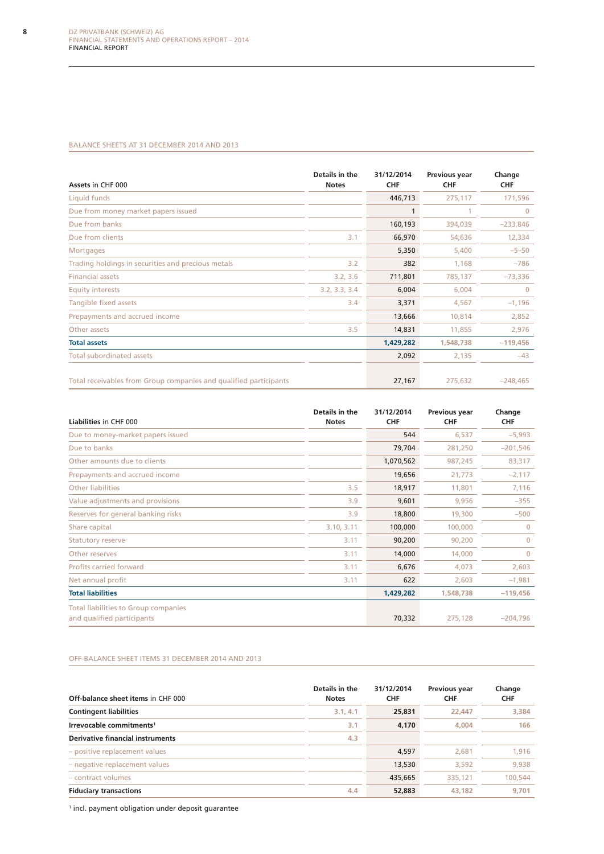#### BALANCE SHEETS AT 31 DECEMBER 2014 AND 2013

| Assets in CHF 000                                                 | Details in the<br><b>Notes</b> | 31/12/2014<br><b>CHF</b> | <b>Previous year</b><br><b>CHF</b> | Change<br><b>CHF</b> |
|-------------------------------------------------------------------|--------------------------------|--------------------------|------------------------------------|----------------------|
| Liquid funds                                                      |                                | 446,713                  | 275,117                            | 171,596              |
| Due from money market papers issued                               |                                |                          |                                    | $\mathbf{0}$         |
| Due from banks                                                    |                                | 160,193                  | 394,039                            | $-233,846$           |
| Due from clients                                                  | 3.1                            | 66,970                   | 54,636                             | 12,334               |
| <b>Mortgages</b>                                                  |                                | 5,350                    | 5,400                              | $-5 - 50$            |
| Trading holdings in securities and precious metals                | 3.2                            | 382                      | 1,168                              | $-786$               |
| <b>Financial assets</b>                                           | 3.2, 3.6                       | 711,801                  | 785,137                            | $-73,336$            |
| <b>Equity interests</b>                                           | 3.2, 3.3, 3.4                  | 6,004                    | 6,004                              | $\mathbf{0}$         |
| Tangible fixed assets                                             | 3.4                            | 3,371                    | 4,567                              | $-1,196$             |
| Prepayments and accrued income                                    |                                | 13,666                   | 10,814                             | 2,852                |
| Other assets                                                      | 3.5                            | 14,831                   | 11,855                             | 2,976                |
| <b>Total assets</b>                                               |                                | 1,429,282                | 1,548,738                          | $-119,456$           |
| <b>Total subordinated assets</b>                                  |                                | 2,092                    | 2,135                              | $-43$                |
| Total receivables from Group companies and qualified participants |                                | 27,167                   | 275,632                            | $-248,465$           |

| Liabilities in CHF 000                                             | Details in the<br><b>Notes</b> | 31/12/2014<br><b>CHF</b> | <b>Previous year</b><br><b>CHF</b> | Change<br><b>CHF</b> |
|--------------------------------------------------------------------|--------------------------------|--------------------------|------------------------------------|----------------------|
| Due to money-market papers issued                                  |                                | 544                      | 6,537                              | $-5,993$             |
| Due to banks                                                       |                                | 79,704                   | 281,250                            | $-201,546$           |
| Other amounts due to clients                                       |                                | 1,070,562                | 987,245                            | 83,317               |
| Prepayments and accrued income                                     |                                | 19,656                   | 21,773                             | $-2,117$             |
| Other liabilities                                                  | 3.5                            | 18,917                   | 11,801                             | 7,116                |
| Value adjustments and provisions                                   | 3.9                            | 9,601                    | 9,956                              | $-355$               |
| Reserves for general banking risks                                 | 3.9                            | 18,800                   | 19,300                             | $-500$               |
| Share capital                                                      | 3.10, 3.11                     | 100,000                  | 100,000                            | $\mathbf{0}$         |
| <b>Statutory reserve</b>                                           | 3.11                           | 90,200                   | 90,200                             | $\mathbf{0}$         |
| Other reserves                                                     | 3.11                           | 14,000                   | 14,000                             | $\mathbf{0}$         |
| Profits carried forward                                            | 3.11                           | 6,676                    | 4,073                              | 2,603                |
| Net annual profit                                                  | 3.11                           | 622                      | 2,603                              | $-1,981$             |
| <b>Total liabilities</b>                                           |                                | 1,429,282                | 1,548,738                          | $-119,456$           |
| Total liabilities to Group companies<br>and qualified participants |                                | 70,332                   | 275,128                            | $-204,796$           |

# OFF-BALANCE SHEET ITEMS 31 DECEMBER 2014 AND 2013

| Off-balance sheet items in CHF 000   | Details in the<br><b>Notes</b> | 31/12/2014<br><b>CHF</b> | <b>Previous year</b><br><b>CHF</b> | Change<br><b>CHF</b> |
|--------------------------------------|--------------------------------|--------------------------|------------------------------------|----------------------|
| <b>Contingent liabilities</b>        | 3.1, 4.1                       | 25,831                   | 22,447                             | 3,384                |
| Irrevocable commitments <sup>1</sup> | 3.1                            | 4,170                    | 4.004                              | 166                  |
| Derivative financial instruments     | 4.3                            |                          |                                    |                      |
| - positive replacement values        |                                | 4,597                    | 2.681                              | 1,916                |
| - negative replacement values        |                                | 13,530                   | 3.592                              | 9.938                |
| - contract volumes                   |                                | 435,665                  | 335.121                            | 100.544              |
| <b>Fiduciary transactions</b>        | 4.4                            | 52,883                   | 43.182                             | 9.701                |

<sup>1</sup> incl. payment obligation under deposit guarantee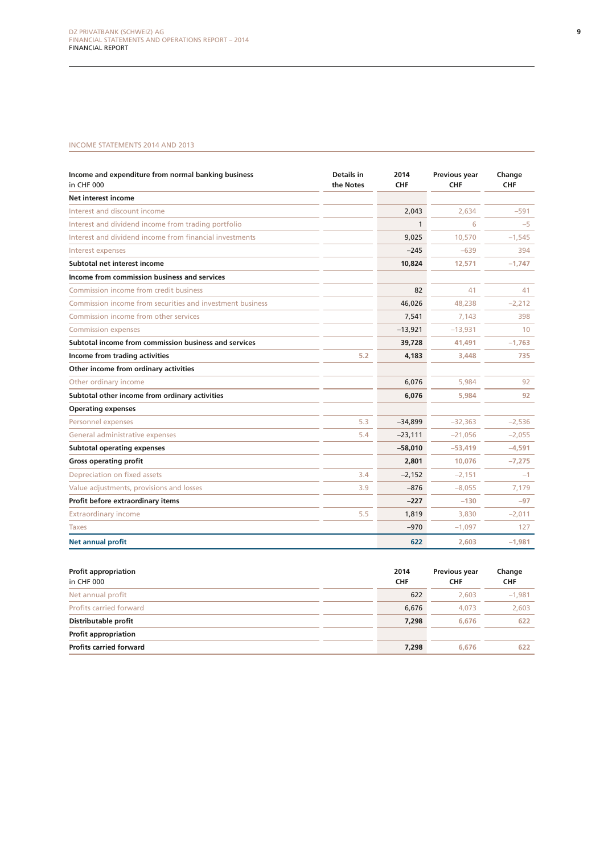### INCOME STATEMENTS 2014 AND 2013

| Income and expenditure from normal banking business<br>in CHF 000 | Details in<br>the Notes | 2014<br><b>CHF</b> | Previous year<br><b>CHF</b> | Change<br><b>CHF</b> |
|-------------------------------------------------------------------|-------------------------|--------------------|-----------------------------|----------------------|
| Net interest income                                               |                         |                    |                             |                      |
| Interest and discount income                                      |                         | 2,043              | 2,634                       | $-591$               |
| Interest and dividend income from trading portfolio               |                         | $\mathbf{1}$       | 6                           | $-5$                 |
| Interest and dividend income from financial investments           |                         | 9,025              | 10,570                      | $-1,545$             |
| Interest expenses                                                 |                         | $-245$             | $-639$                      | 394                  |
| Subtotal net interest income                                      |                         | 10,824             | 12,571                      | $-1,747$             |
| Income from commission business and services                      |                         |                    |                             |                      |
| Commission income from credit business                            |                         | 82                 | 41                          | 41                   |
| Commission income from securities and investment business         |                         | 46,026             | 48,238                      | $-2,212$             |
| Commission income from other services                             |                         | 7,541              | 7.143                       | 398                  |
| <b>Commission expenses</b>                                        |                         | $-13,921$          | $-13,931$                   | 10                   |
| Subtotal income from commission business and services             |                         | 39,728             | 41,491                      | $-1,763$             |
| Income from trading activities                                    | 5.2                     | 4,183              | 3,448                       | 735                  |
| Other income from ordinary activities                             |                         |                    |                             |                      |
| Other ordinary income                                             |                         | 6.076              | 5.984                       | 92                   |
| Subtotal other income from ordinary activities                    |                         | 6,076              | 5,984                       | 92                   |
| <b>Operating expenses</b>                                         |                         |                    |                             |                      |
| Personnel expenses                                                | 5.3                     | $-34,899$          | $-32,363$                   | $-2,536$             |
| General administrative expenses                                   | 5.4                     | $-23,111$          | $-21.056$                   | $-2,055$             |
| <b>Subtotal operating expenses</b>                                |                         | $-58,010$          | $-53,419$                   | $-4,591$             |
| <b>Gross operating profit</b>                                     |                         | 2,801              | 10,076                      | $-7,275$             |
| Depreciation on fixed assets                                      | 3.4                     | $-2,152$           | $-2.151$                    | $-1$                 |
| Value adjustments, provisions and losses                          | 3.9                     | $-876$             | $-8,055$                    | 7,179                |
| Profit before extraordinary items                                 |                         | $-227$             | $-130$                      | $-97$                |
| <b>Extraordinary income</b>                                       | 5.5                     | 1,819              | 3,830                       | $-2,011$             |
| <b>Taxes</b>                                                      |                         | $-970$             | $-1,097$                    | 127                  |
| <b>Net annual profit</b>                                          |                         | 622                | 2,603                       | $-1,981$             |

| <b>Profit appropriation</b><br>in CHF 000 | 2014<br><b>CHF</b> | <b>Previous year</b><br><b>CHF</b> | Change<br><b>CHF</b> |
|-------------------------------------------|--------------------|------------------------------------|----------------------|
| Net annual profit                         | 622                | 2.603                              | $-1,981$             |
| Profits carried forward                   | 6,676              | 4.073                              | 2,603                |
| Distributable profit                      | 7,298              | 6.676                              | 622                  |
| <b>Profit appropriation</b>               |                    |                                    |                      |
| <b>Profits carried forward</b>            | 7,298              | 6.676                              | 622                  |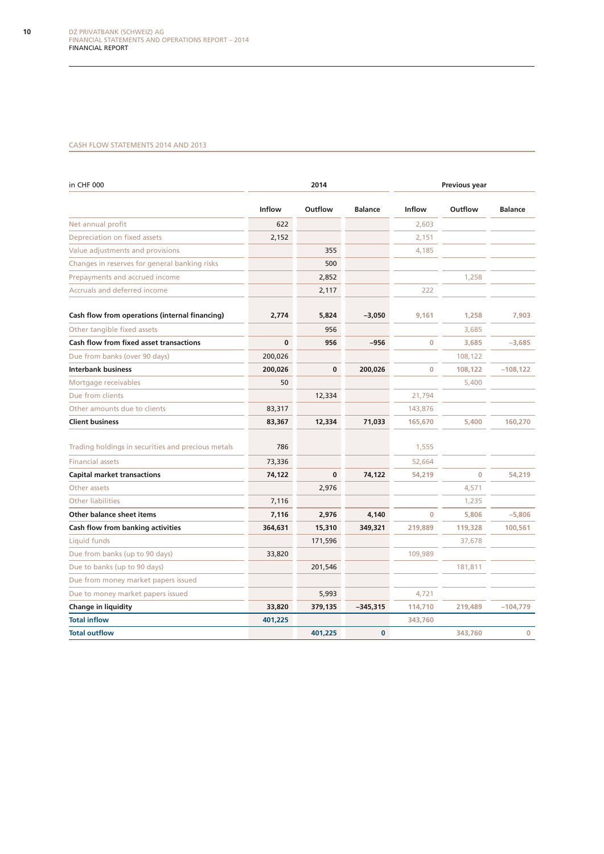#### CASH FLOW STATEMENTS 2014 AND 2013

| in CHF 000                                         |               | 2014    |                |          | Previous year |                |  |
|----------------------------------------------------|---------------|---------|----------------|----------|---------------|----------------|--|
|                                                    | <b>Inflow</b> | Outflow | <b>Balance</b> | Inflow   | Outflow       | <b>Balance</b> |  |
| Net annual profit                                  | 622           |         |                | 2,603    |               |                |  |
| Depreciation on fixed assets                       | 2,152         |         |                | 2,151    |               |                |  |
| Value adjustments and provisions                   |               | 355     |                | 4,185    |               |                |  |
| Changes in reserves for general banking risks      |               | 500     |                |          |               |                |  |
| Prepayments and accrued income                     |               | 2,852   |                |          | 1,258         |                |  |
| <b>Accruals and deferred income</b>                |               | 2,117   |                | 222      |               |                |  |
| Cash flow from operations (internal financing)     | 2,774         | 5,824   | $-3,050$       | 9,161    | 1,258         | 7,903          |  |
| Other tangible fixed assets                        |               | 956     |                |          | 3,685         |                |  |
| Cash flow from fixed asset transactions            | 0             | 956     | $-956$         | 0        | 3,685         | $-3,685$       |  |
| Due from banks (over 90 days)                      | 200,026       |         |                |          | 108,122       |                |  |
| <b>Interbank business</b>                          | 200,026       | 0       | 200,026        | 0        | 108,122       | $-108,122$     |  |
| Mortgage receivables                               | 50            |         |                |          | 5,400         |                |  |
| Due from clients                                   |               | 12,334  |                | 21,794   |               |                |  |
| Other amounts due to clients                       | 83,317        |         |                | 143,876  |               |                |  |
| <b>Client business</b>                             | 83,367        | 12,334  | 71,033         | 165,670  | 5,400         | 160,270        |  |
| Trading holdings in securities and precious metals | 786           |         |                | 1,555    |               |                |  |
| <b>Financial assets</b>                            | 73,336        |         |                | 52,664   |               |                |  |
| <b>Capital market transactions</b>                 | 74,122        | 0       | 74,122         | 54,219   | $\mathbf 0$   | 54,219         |  |
| Other assets                                       |               | 2,976   |                |          | 4,571         |                |  |
| <b>Other liabilities</b>                           | 7,116         |         |                |          | 1,235         |                |  |
| Other balance sheet items                          | 7,116         | 2,976   | 4,140          | $\bf{0}$ | 5,806         | $-5,806$       |  |
| Cash flow from banking activities                  | 364,631       | 15,310  | 349,321        | 219,889  | 119,328       | 100,561        |  |
| Liquid funds                                       |               | 171,596 |                |          | 37,678        |                |  |
| Due from banks (up to 90 days)                     | 33,820        |         |                | 109,989  |               |                |  |
| Due to banks (up to 90 days)                       |               | 201,546 |                |          | 181,811       |                |  |
| Due from money market papers issued                |               |         |                |          |               |                |  |
| Due to money market papers issued                  |               | 5,993   |                | 4,721    |               |                |  |
| <b>Change in liquidity</b>                         | 33,820        | 379,135 | $-345,315$     | 114,710  | 219,489       | $-104,779$     |  |
| <b>Total inflow</b>                                | 401,225       |         |                | 343,760  |               |                |  |
| <b>Total outflow</b>                               |               | 401,225 | $\mathbf{0}$   |          | 343,760       | $\mathbf{0}$   |  |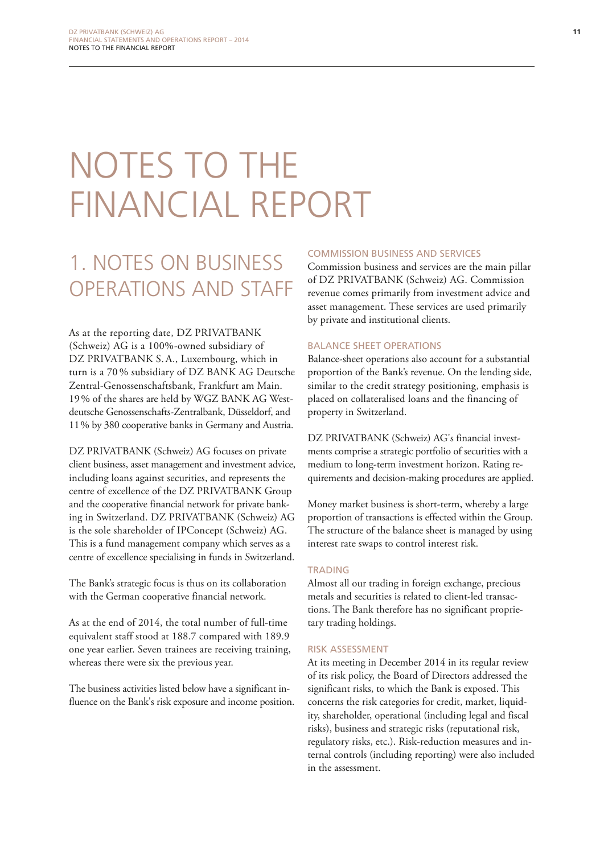# NOTES TO THE FINANCIAL REPORT

# 1. NOTES ON BUSINESS OPERATIONS AND STAFF

As at the reporting date, DZ PRIVATBANK (Schweiz) AG is a 100%-owned subsidiary of DZ PRIVATBANK S.A., Luxembourg, which in turn is a 70 % subsidiary of DZ BANK AG Deutsche Zentral-Genossenschaftsbank, Frankfurt am Main. 19% of the shares are held by WGZ BANK AG Westdeutsche Genossenschafts-Zentralbank, Düsseldorf, and 11% by 380 cooperative banks in Germany and Austria.

DZ PRIVATBANK (Schweiz) AG focuses on private client business, asset management and investment advice, including loans against securities, and represents the centre of excellence of the DZ PRIVATBANK Group and the cooperative financial network for private banking in Switzerland. DZ PRIVATBANK (Schweiz) AG is the sole shareholder of IPConcept (Schweiz) AG. This is a fund management company which serves as a centre of excellence specialising in funds in Switzerland.

The Bank's strategic focus is thus on its collaboration with the German cooperative financial network.

As at the end of 2014, the total number of full-time equivalent staff stood at 188.7 compared with 189.9 one year earlier. Seven trainees are receiving training, whereas there were six the previous year.

The business activities listed below have a significant influence on the Bank's risk exposure and income position.

# COMMISSION BUSINESS AND SERVICES

Commission business and services are the main pillar of DZ PRIVATBANK (Schweiz) AG. Commission revenue comes primarily from investment advice and asset management. These services are used primarily by private and institutional clients.

### BALANCE SHEET OPERATIONS

Balance-sheet operations also account for a substantial proportion of the Bank's revenue. On the lending side, similar to the credit strategy positioning, emphasis is placed on collateralised loans and the financing of property in Switzerland.

DZ PRIVATBANK (Schweiz) AG's financial investments comprise a strategic portfolio of securities with a medium to long-term investment horizon. Rating requirements and decision-making procedures are applied.

Money market business is short-term, whereby a large proportion of transactions is effected within the Group. The structure of the balance sheet is managed by using interest rate swaps to control interest risk.

### TRADING

Almost all our trading in foreign exchange, precious metals and securities is related to client-led transactions. The Bank therefore has no significant proprietary trading holdings.

### RISK ASSESSMENT

At its meeting in December 2014 in its regular review of its risk policy, the Board of Directors addressed the significant risks, to which the Bank is exposed. This concerns the risk categories for credit, market, liquidity, shareholder, operational (including legal and fiscal risks), business and strategic risks (reputational risk, regulatory risks, etc.). Risk-reduction measures and internal controls (including reporting) were also included in the assessment.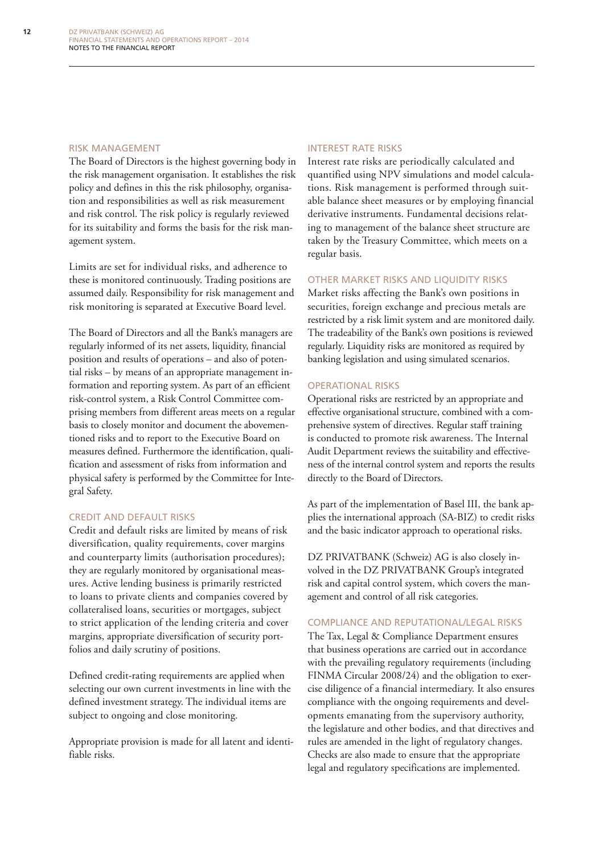#### RISK MANAGEMENT

The Board of Directors is the highest governing body in the risk management organisation. It establishes the risk policy and defines in this the risk philosophy, organisation and responsibilities as well as risk measurement and risk control. The risk policy is regularly reviewed for its suitability and forms the basis for the risk management system.

Limits are set for individual risks, and adherence to these is monitored continuously. Trading positions are assumed daily. Responsibility for risk management and risk monitoring is separated at Executive Board level.

The Board of Directors and all the Bank's managers are regularly informed of its net assets, liquidity, financial position and results of operations – and also of potential risks – by means of an appropriate management information and reporting system. As part of an efficient risk-control system, a Risk Control Committee comprising members from different areas meets on a regular basis to closely monitor and document the abovementioned risks and to report to the Executive Board on measures defined. Furthermore the identification, qualification and assessment of risks from information and physical safety is performed by the Committee for Integral Safety.

# CREDIT AND DEFAULT RISKS

Credit and default risks are limited by means of risk diversification, quality requirements, cover margins and counterparty limits (authorisation procedures); they are regularly monitored by organisational measures. Active lending business is primarily restricted to loans to private clients and companies covered by collateralised loans, securities or mortgages, subject to strict application of the lending criteria and cover margins, appropriate diversification of security portfolios and daily scrutiny of positions.

Defined credit-rating requirements are applied when selecting our own current investments in line with the defined investment strategy. The individual items are subject to ongoing and close monitoring.

Appropriate provision is made for all latent and identifiable risks.

## INTEREST RATE RISKS

Interest rate risks are periodically calculated and quantified using NPV simulations and model calculations. Risk management is performed through suitable balance sheet measures or by employing financial derivative instruments. Fundamental decisions relating to management of the balance sheet structure are taken by the Treasury Committee, which meets on a regular basis.

# OTHER MARKET RISKS AND LIQUIDITY RISKS

Market risks affecting the Bank's own positions in securities, foreign exchange and precious metals are restricted by a risk limit system and are monitored daily. The tradeability of the Bank's own positions is reviewed regularly. Liquidity risks are monitored as required by banking legislation and using simulated scenarios.

# OPERATIONAL RISKS

Operational risks are restricted by an appropriate and effective organisational structure, combined with a comprehensive system of directives. Regular staff training is conducted to promote risk awareness. The Internal Audit Department reviews the suitability and effectiveness of the internal control system and reports the results directly to the Board of Directors.

As part of the implementation of Basel III, the bank applies the international approach (SA-BIZ) to credit risks and the basic indicator approach to operational risks.

DZ PRIVATBANK (Schweiz) AG is also closely involved in the DZ PRIVATBANK Group's integrated risk and capital control system, which covers the management and control of all risk categories.

# COMPLIANCE AND REPUTATIONAL/LEGAL RISKS

The Tax, Legal & Compliance Department ensures that business operations are carried out in accordance with the prevailing regulatory requirements (including FINMA Circular 2008/24) and the obligation to exercise diligence of a financial intermediary. It also ensures compliance with the ongoing requirements and developments emanating from the supervisory authority, the legislature and other bodies, and that directives and rules are amended in the light of regulatory changes. Checks are also made to ensure that the appropriate legal and regulatory specifications are implemented.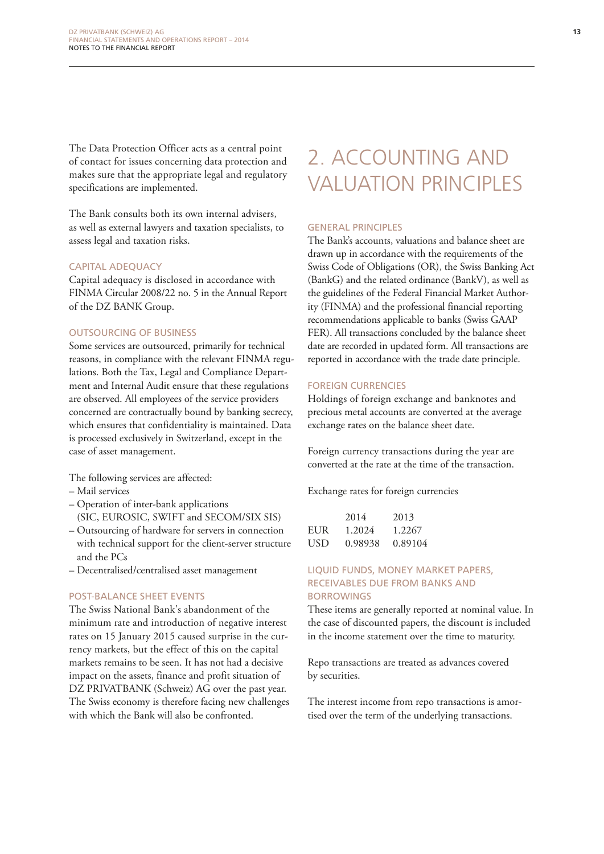The Data Protection Officer acts as a central point of contact for issues concerning data protection and makes sure that the appropriate legal and regulatory specifications are implemented.

The Bank consults both its own internal advisers, as well as external lawyers and taxation specialists, to assess legal and taxation risks.

# CAPITAL ADEQUACY

Capital adequacy is disclosed in accordance with FINMA Circular 2008/22 no. 5 in the Annual Report of the DZ BANK Group.

# OUTSOURCING OF BUSINESS

Some services are outsourced, primarily for technical reasons, in compliance with the relevant FINMA regulations. Both the Tax, Legal and Compliance Department and Internal Audit ensure that these regulations are observed. All employees of the service providers concerned are contractually bound by banking secrecy, which ensures that confidentiality is maintained. Data is processed exclusively in Switzerland, except in the case of asset management.

The following services are affected:

- Mail services
- Operation of inter-bank applications (SIC, EUROSIC, SWIFT and SECOM/SIX SIS)
- Outsourcing of hardware for servers in connection with technical support for the client-server structure and the PCs
- Decentralised/centralised asset management

# POST-BALANCE SHEET EVENTS

The Swiss National Bank's abandonment of the minimum rate and introduction of negative interest rates on 15 January 2015 caused surprise in the currency markets, but the effect of this on the capital markets remains to be seen. It has not had a decisive impact on the assets, finance and profit situation of DZ PRIVATBANK (Schweiz) AG over the past year. The Swiss economy is therefore facing new challenges with which the Bank will also be confronted.

# 2. ACCOUNTING AND VALUATION PRINCIPLES

#### GENERAL PRINCIPLES

The Bank's accounts, valuations and balance sheet are drawn up in accordance with the requirements of the Swiss Code of Obligations (OR), the Swiss Banking Act (BankG) and the related ordinance (BankV), as well as the guidelines of the Federal Financial Market Authority (FINMA) and the professional financial reporting recommendations applicable to banks (Swiss GAAP FER). All transactions concluded by the balance sheet date are recorded in updated form. All transactions are reported in accordance with the trade date principle.

## FOREIGN CURRENCIES

Holdings of foreign exchange and banknotes and precious metal accounts are converted at the average exchange rates on the balance sheet date.

Foreign currency transactions during the year are converted at the rate at the time of the transaction.

Exchange rates for foreign currencies

|      | 2014    | 2013    |
|------|---------|---------|
| EUR. | 1.2024  | 1.2267  |
| USD  | 0.98938 | 0.89104 |

# LIQUID FUNDS, MONEY MARKET PAPERS, RECEIVABLES DUE FROM BANKS AND **BORROWINGS**

These items are generally reported at nominal value. In the case of discounted papers, the discount is included in the income statement over the time to maturity.

Repo transactions are treated as advances covered by securities.

The interest income from repo transactions is amortised over the term of the underlying transactions.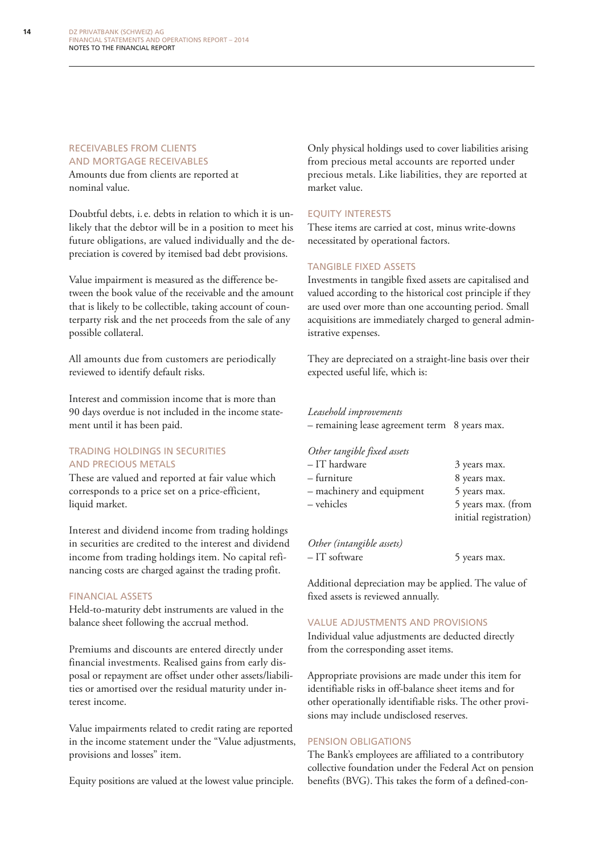## RECEIVABLES FROM CLIENTS AND MORTGAGE RECEIVABLES

Amounts due from clients are reported at nominal value.

Doubtful debts, i.e. debts in relation to which it is unlikely that the debtor will be in a position to meet his future obligations, are valued individually and the depreciation is covered by itemised bad debt provisions.

Value impairment is measured as the difference between the book value of the receivable and the amount that is likely to be collectible, taking account of counterparty risk and the net proceeds from the sale of any possible collateral.

All amounts due from customers are periodically reviewed to identify default risks.

Interest and commission income that is more than 90 days overdue is not included in the income statement until it has been paid.

# TRADING HOLDINGS IN SECURITIES AND PRECIOUS METALS

These are valued and reported at fair value which corresponds to a price set on a price-efficient, liquid market.

Interest and dividend income from trading holdings in securities are credited to the interest and dividend income from trading holdings item. No capital refinancing costs are charged against the trading profit.

# FINANCIAL ASSETS

Held-to-maturity debt instruments are valued in the balance sheet following the accrual method.

Premiums and discounts are entered directly under financial investments. Realised gains from early disposal or repayment are offset under other assets/liabilities or amortised over the residual maturity under interest income.

Value impairments related to credit rating are reported in the income statement under the "Value adjustments, provisions and losses" item.

Equity positions are valued at the lowest value principle.

Only physical holdings used to cover liabilities arising from precious metal accounts are reported under precious metals. Like liabilities, they are reported at market value.

# EQUITY INTERESTS

These items are carried at cost, minus write-downs necessitated by operational factors.

# TANGIBLE FIXED ASSETS

Investments in tangible fixed assets are capitalised and valued according to the historical cost principle if they are used over more than one accounting period. Small acquisitions are immediately charged to general administrative expenses.

They are depreciated on a straight-line basis over their expected useful life, which is:

### *Leasehold improvements*

– remaining lease agreement term 8 years max.

*Other tangible fixed assets*

| – IT hardware             | 3 years max.          |
|---------------------------|-----------------------|
| – furniture               | 8 years max.          |
| - machinery and equipment | 5 years max.          |
| – vehicles                | 5 years max. (from    |
|                           | initial registration) |
|                           |                       |

*Other (intangible assets)*

 $-$  IT software  $5$  years max.

Additional depreciation may be applied. The value of fixed assets is reviewed annually.

# VALUE ADJUSTMENTS AND PROVISIONS

Individual value adjustments are deducted directly from the corresponding asset items.

Appropriate provisions are made under this item for identifiable risks in off-balance sheet items and for other operationally identifiable risks. The other provisions may include undisclosed reserves.

## PENSION OBLIGATIONS

The Bank's employees are affiliated to a contributory collective foundation under the Federal Act on pension benefits (BVG). This takes the form of a defined-con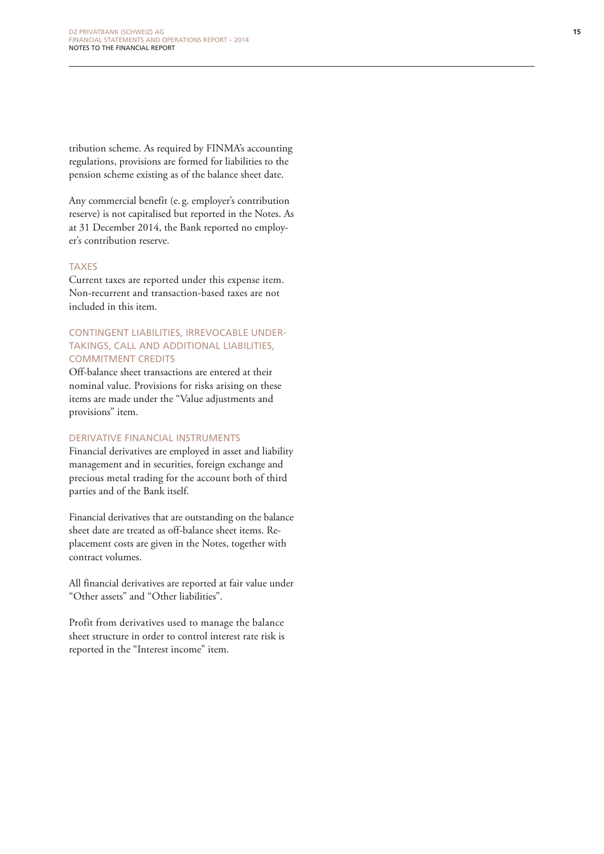tribution scheme. As required by FINMA's accounting regulations, provisions are formed for liabilities to the pension scheme existing as of the balance sheet date.

Any commercial benefit (e. g. employer's contribution reserve) is not capitalised but reported in the Notes. As at 31 December 2014, the Bank reported no employ er's contribution reserve.

# **TAXES**

Current taxes are reported under this expense item. Non-recurrent and transaction-based taxes are not included in this item.

# CONTINGENT LIABILITIES, IRREVOCABLE UNDER - TAKINGS, CALL AND ADDITIONAL LIABILITIES, COMMITMENT CREDITS

Off-balance sheet transactions are entered at their nominal value. Provisions for risks arising on these items are made under the "Value adjustments and provisions" item.

# DERIVATIVE FINANCIAL INSTRUMENTS

Financial derivatives are employed in asset and liability management and in securities, foreign exchange and precious metal trading for the account both of third parties and of the Bank itself.

Financial derivatives that are outstanding on the balance sheet date are treated as off-balance sheet items. Re placement costs are given in the Notes, together with contract volumes.

All financial derivatives are reported at fair value under "Other assets" and "Other liabilities".

Profit from derivatives used to manage the balance sheet structure in order to control interest rate risk is reported in the "Interest income" item.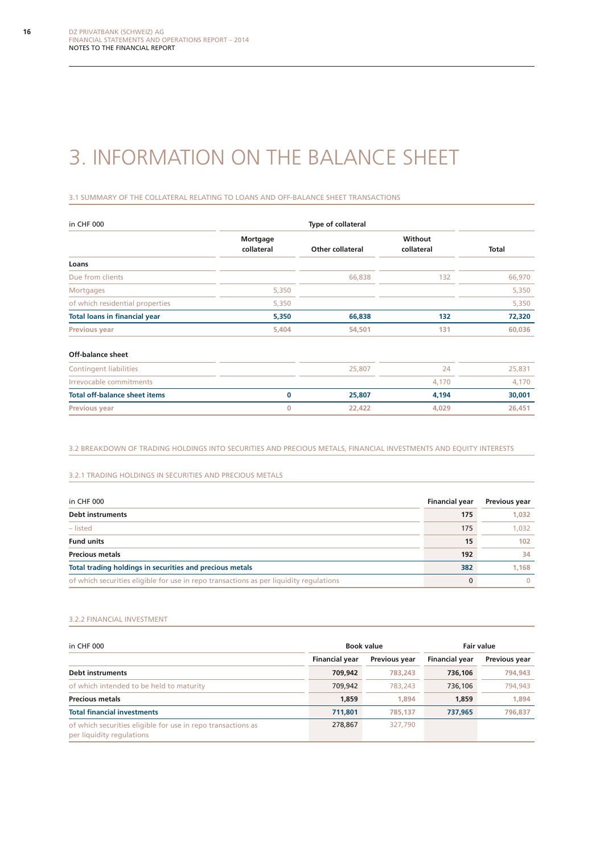# 3. INFORMATION ON THE BALANCE SHEET

3.1 SUMMARY OF THE COLLATERAL RELATING TO LOANS AND OFF-BALANCE SHEET TRANSACTIONS

| in CHF 000                           | Type of collateral     |                  |                       |        |
|--------------------------------------|------------------------|------------------|-----------------------|--------|
|                                      | Mortgage<br>collateral | Other collateral | Without<br>collateral | Total  |
| Loans                                |                        |                  |                       |        |
| Due from clients                     |                        | 66,838           | 132                   | 66,970 |
| <b>Mortgages</b>                     | 5,350                  |                  |                       | 5,350  |
| of which residential properties      | 5,350                  |                  |                       | 5,350  |
| <b>Total loans in financial year</b> | 5,350                  | 66,838           | 132                   | 72,320 |
| <b>Previous year</b>                 | 5,404                  | 54,501           | 131                   | 60,036 |
| <b>Off-balance sheet</b>             |                        |                  |                       |        |
| <b>Contingent liabilities</b>        |                        | 25,807           | 24                    | 25,831 |
| Irrevocable commitments              |                        |                  | 4,170                 | 4,170  |
| <b>Total off-balance sheet items</b> | 0                      | 25,807           | 4,194                 | 30,001 |
| <b>Previous year</b>                 | $\bf{0}$               | 22,422           | 4,029                 | 26,451 |

3.2 BREAKDOWN OF TRADING HOLDINGS INTO SECURITIES AND PRECIOUS METALS, FINANCIAL INVESTMENTS AND EQUITY INTERESTS

#### 3.2.1 TRADING HOLDINGS IN SECURITIES AND PRECIOUS METALS

| in CHF 000                                                                             | <b>Financial year</b> | <b>Previous year</b> |
|----------------------------------------------------------------------------------------|-----------------------|----------------------|
| <b>Debt instruments</b>                                                                | 175                   | 1,032                |
| – listed                                                                               | 175                   | 1.032                |
| <b>Fund units</b>                                                                      | 15                    | 102                  |
| <b>Precious metals</b>                                                                 | 192                   | 34                   |
| Total trading holdings in securities and precious metals                               | 382                   | 1.168                |
| of which securities eligible for use in repo transactions as per liquidity regulations | 0                     |                      |

#### 3.2.2 FINANCIAL INVESTMENT

| in CHF 000                                                                                | Book value            |               | <b>Fair value</b>     |               |
|-------------------------------------------------------------------------------------------|-----------------------|---------------|-----------------------|---------------|
|                                                                                           | <b>Financial year</b> | Previous year | <b>Financial year</b> | Previous year |
| <b>Debt instruments</b>                                                                   | 709,942               | 783.243       | 736,106               | 794,943       |
| of which intended to be held to maturity                                                  | 709,942               | 783,243       | 736,106               | 794,943       |
| <b>Precious metals</b>                                                                    | 1,859                 | 1.894         | 1,859                 | 1.894         |
| <b>Total financial investments</b>                                                        | 711.801               | 785.137       | 737.965               | 796.837       |
| of which securities eligible for use in repo transactions as<br>per liquidity regulations | 278,867               | 327.790       |                       |               |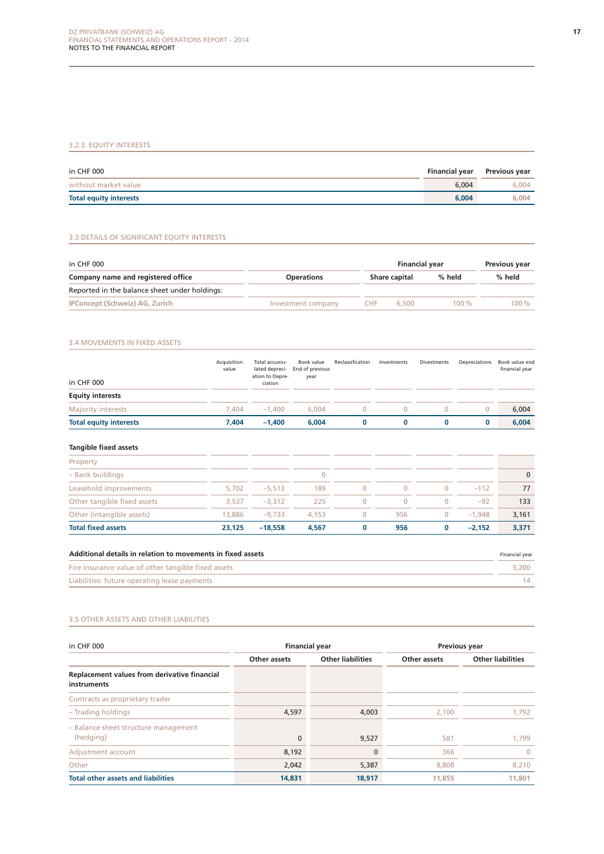#### 3.2.3. EQUITY INTERESTS

| in CHF 000                    | <b>Financial year</b> | Previous year |
|-------------------------------|-----------------------|---------------|
| without market value          | 6.004                 | 6.004         |
| <b>Total equity interests</b> | 6.004                 | 6.004         |

#### 3.3 DETAILS OF SIGNIFICANT EQUITY INTERESTS

| in CHF 000                                    |                    | <b>Financial year</b> |               |         | Previous year |  |
|-----------------------------------------------|--------------------|-----------------------|---------------|---------|---------------|--|
| Company name and registered office            | <b>Operations</b>  |                       | Share capital | % held  | % held        |  |
| Reported in the balance sheet under holdings: |                    |                       |               |         |               |  |
| IPConcept (Schweiz) AG, Zurich                | Investment company | <b>CHF</b>            | 6.500         | $100\%$ | $100\%$       |  |

## 3.4 MOVEMENTS IN FIXED ASSETS

| in CHF 000                    | Acquisition<br>value | Total accumu-<br>lated depreci-<br>ation to Depre-<br>ciation | Book value<br>End of previous<br>year | Reclassification | Investments | <b>Divestments</b> | Depreciations | Book value end<br>financial year |
|-------------------------------|----------------------|---------------------------------------------------------------|---------------------------------------|------------------|-------------|--------------------|---------------|----------------------------------|
| <b>Equity interests</b>       |                      |                                                               |                                       |                  |             |                    |               |                                  |
| <b>Majority interests</b>     | 7,404                | $-1,400$                                                      | 6,004                                 | $\mathbf 0$      | $\Omega$    | $\Omega$           | $\mathbf{0}$  | 6,004                            |
| <b>Total equity interests</b> | 7,404                | $-1,400$                                                      | 6,004                                 | $\bf{0}$         | 0           | 0                  | 0             | 6,004                            |
| <b>Tangible fixed assets</b>  |                      |                                                               |                                       |                  |             |                    |               |                                  |
| Property                      |                      |                                                               |                                       |                  |             |                    |               |                                  |
| - Bank buildings              |                      |                                                               | $\mathbf{0}$                          |                  |             |                    |               | $\mathbf{0}$                     |
| Leasehold improvements        | 5,702                | $-5,513$                                                      | 189                                   | $\mathbf 0$      | 0           | $\mathbf 0$        | $-112$        | 77                               |
| Other tangible fixed assets   | 3,537                | $-3,312$                                                      | 225                                   | $\mathbf{0}$     | $\Omega$    | $\mathbf 0$        | $-92$         | 133                              |
| Other (intangible assets)     | 13,886               | $-9,733$                                                      | 4,153                                 | $\mathbf{0}$     | 956         | $\mathbf 0$        | $-1,948$      | 3,161                            |
| <b>Total fixed assets</b>     | 23,125               | $-18,558$                                                     | 4,567                                 | 0                | 956         | 0                  | $-2,152$      | 3,371                            |

| Fire insurance value of other tangible fixed assets | 5.200 |
|-----------------------------------------------------|-------|
| Liabilities: future operating lease payments        |       |

# 3.5 OTHER ASSETS AND OTHER LIABILITIES

| in CHF 000                                                  | <b>Financial year</b> |                          | Previous year |                          |  |
|-------------------------------------------------------------|-----------------------|--------------------------|---------------|--------------------------|--|
|                                                             | Other assets          | <b>Other liabilities</b> | Other assets  | <b>Other liabilities</b> |  |
| Replacement values from derivative financial<br>instruments |                       |                          |               |                          |  |
| Contracts as proprietary trader                             |                       |                          |               |                          |  |
| - Trading holdings                                          | 4,597                 | 4,003                    | 2.100         | 1.792                    |  |
| - Balance sheet structure management<br>(hedging)           | $\mathbf{0}$          | 9,527                    | 581           | 1.799                    |  |
| Adjustment account                                          | 8,192                 | $\mathbf{0}$             | 366           | $\Omega$                 |  |
| Other                                                       | 2,042                 | 5,387                    | 8.808         | 8,210                    |  |
| <b>Total other assets and liabilities</b>                   | 14,831                | 18,917                   | 11,855        | 11,801                   |  |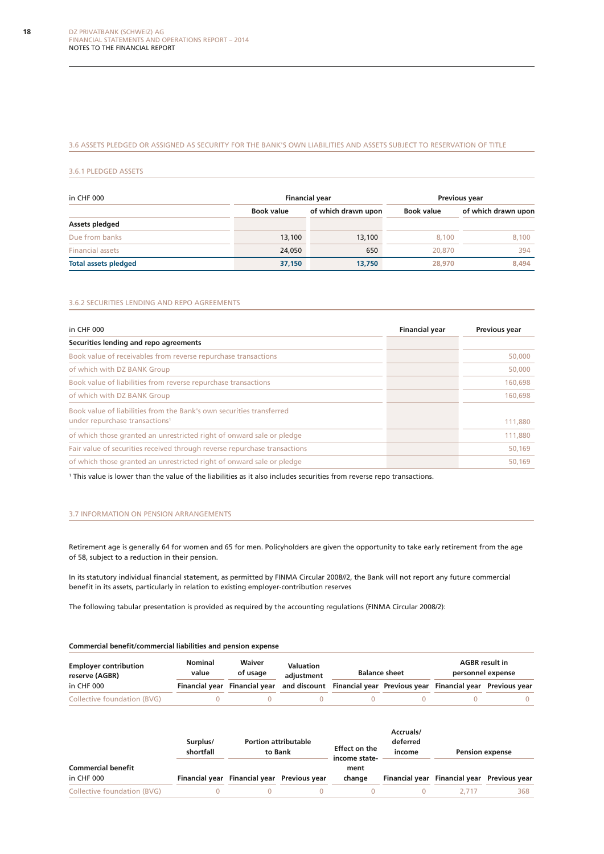#### 3.6 ASSETS PLEDGED OR ASSIGNED AS SECURITY FOR THE BANK'S OWN LIABILITIES AND ASSETS SUBJECT TO RESERVATION OF TITLE

#### 3.6.1 PLEDGED ASSETS

| in CHF 000                  |                   | <b>Financial year</b> | <b>Previous year</b> |                   |  |                     |  |
|-----------------------------|-------------------|-----------------------|----------------------|-------------------|--|---------------------|--|
|                             | <b>Book value</b> | of which drawn upon   |                      | <b>Book value</b> |  | of which drawn upon |  |
| Assets pledged              |                   |                       |                      |                   |  |                     |  |
| Due from banks              | 13,100            | 13,100                | 8.100                | 8,100             |  |                     |  |
| <b>Financial assets</b>     | 24,050            | 650                   | 20,870               | 394               |  |                     |  |
| <b>Total assets pledged</b> | 37,150            | 13,750                | 28,970               | 8,494             |  |                     |  |

#### 3.6.2 SECURITIES LENDING AND REPO AGREEMENTS

| in CHF 000                                                                                                         | <b>Financial year</b> | Previous year |
|--------------------------------------------------------------------------------------------------------------------|-----------------------|---------------|
| Securities lending and repo agreements                                                                             |                       |               |
| Book value of receivables from reverse repurchase transactions                                                     |                       | 50,000        |
| of which with DZ BANK Group                                                                                        |                       | 50,000        |
| Book value of liabilities from reverse repurchase transactions                                                     |                       | 160,698       |
| of which with DZ BANK Group                                                                                        |                       | 160,698       |
| Book value of liabilities from the Bank's own securities transferred<br>under repurchase transactions <sup>1</sup> |                       | 111,880       |
| of which those granted an unrestricted right of onward sale or pledge                                              |                       | 111,880       |
| Fair value of securities received through reverse repurchase transactions                                          |                       | 50,169        |
| of which those granted an unrestricted right of onward sale or pledge                                              |                       | 50,169        |

1 This value is lower than the value of the liabilities as it also includes securities from reverse repo transactions.

#### 3.7 INFORMATION ON PENSION ARRANGEMENTS

Retirement age is generally 64 for women and 65 for men. Policyholders are given the opportunity to take early retirement from the age of 58, subject to a reduction in their pension.

In its statutory individual financial statement, as permitted by FINMA Circular 2008//2, the Bank will not report any future commercial benefit in its assets, particularly in relation to existing employer-contribution reserves

The following tabular presentation is provided as required by the accounting regulations (FINMA Circular 2008/2):

#### **Commercial benefit/commercial liabilities and pension expense**

| <b>Employer contribution</b><br>reserve (AGBR) | <b>Nominal</b><br>value | Waiver<br>of usage                                                                    | <b>Valuation</b><br>adiustment | <b>Balance sheet</b> |  | <b>AGBR</b> result in<br>personnel expense |
|------------------------------------------------|-------------------------|---------------------------------------------------------------------------------------|--------------------------------|----------------------|--|--------------------------------------------|
| in CHF 000                                     | Financial vear          | Financial year and discount Financial year Previous year Financial year Previous year |                                |                      |  |                                            |
| Collective foundation (BVG)                    |                         |                                                                                       |                                |                      |  |                                            |

|                             | Surplus/<br>shortfall |                                             | <b>Portion attributable</b><br>to Bank | Effect on the<br>income state- | Accruals/<br>deferred<br>income | <b>Pension expense</b>                      |
|-----------------------------|-----------------------|---------------------------------------------|----------------------------------------|--------------------------------|---------------------------------|---------------------------------------------|
| <b>Commercial benefit</b>   |                       |                                             |                                        | ment                           |                                 |                                             |
| in CHF 000                  |                       | Financial year Financial year Previous year |                                        | change                         |                                 | Financial year Financial year Previous year |
| Collective foundation (BVG) |                       |                                             |                                        |                                |                                 | 368                                         |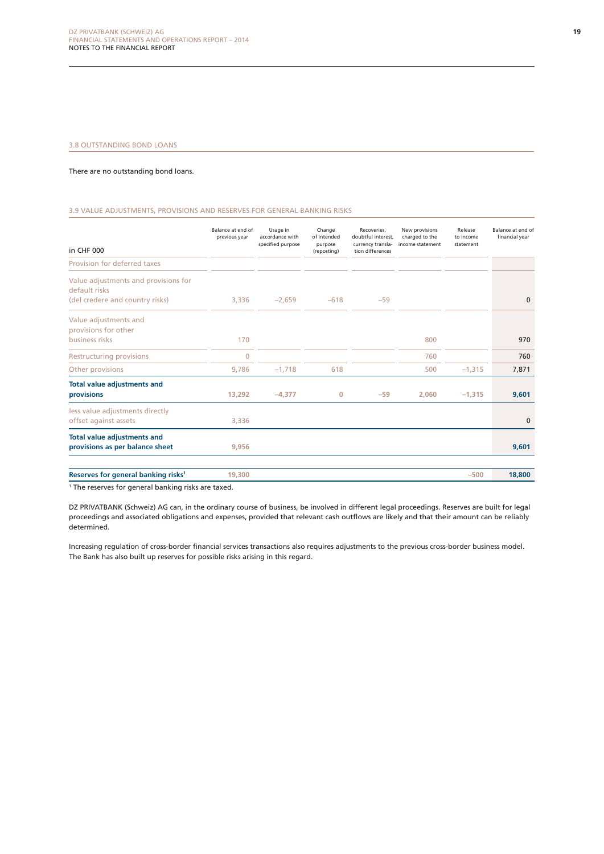#### 3.8 OUTSTANDING BOND LOANS

#### There are no outstanding bond loans.

#### 3.9 VALUE ADJUSTMENTS, PROVISIONS AND RESERVES FOR GENERAL BANKING RISKS

| in CHF 000                                                                               | Balance at end of<br>previous year | Usage in<br>accordance with<br>specified purpose | Change<br>of intended<br>purpose<br>(reposting) | Recoveries,<br>doubtful interest.<br>currency transla-<br>tion differences | New provisions<br>charged to the<br>income statement | Release<br>to income<br>statement | Balance at end of<br>financial year |
|------------------------------------------------------------------------------------------|------------------------------------|--------------------------------------------------|-------------------------------------------------|----------------------------------------------------------------------------|------------------------------------------------------|-----------------------------------|-------------------------------------|
| Provision for deferred taxes                                                             |                                    |                                                  |                                                 |                                                                            |                                                      |                                   |                                     |
| Value adjustments and provisions for<br>default risks<br>(del credere and country risks) | 3.336                              | $-2.659$                                         | $-618$                                          | $-59$                                                                      |                                                      |                                   | $\Omega$                            |
| Value adjustments and<br>provisions for other<br>business risks                          | 170                                |                                                  |                                                 |                                                                            | 800                                                  |                                   | 970                                 |
| Restructuring provisions                                                                 | $\mathbf{0}$                       |                                                  |                                                 |                                                                            | 760                                                  |                                   | 760                                 |
| Other provisions                                                                         | 9,786                              | $-1,718$                                         | 618                                             |                                                                            | 500                                                  | $-1,315$                          | 7,871                               |
| <b>Total value adjustments and</b><br>provisions                                         | 13,292                             | $-4.377$                                         | $\mathbf 0$                                     | $-59$                                                                      | 2,060                                                | $-1.315$                          | 9,601                               |
| less value adjustments directly<br>offset against assets                                 | 3,336                              |                                                  |                                                 |                                                                            |                                                      |                                   | $\mathbf 0$                         |
| <b>Total value adjustments and</b><br>provisions as per balance sheet                    | 9,956                              |                                                  |                                                 |                                                                            |                                                      |                                   | 9,601                               |
| Reserves for general banking risks <sup>1</sup>                                          | 19,300                             |                                                  |                                                 |                                                                            |                                                      | $-500$                            | 18,800                              |

<sup>1</sup> The reserves for general banking risks are taxed.

DZ PRIVATBANK (Schweiz) AG can, in the ordinary course of business, be involved in different legal proceedings. Reserves are built for legal proceedings and associated obligations and expenses, provided that relevant cash outflows are likely and that their amount can be reliably determined.

Increasing regulation of cross-border financial services transactions also requires adjustments to the previous cross-border business model. The Bank has also built up reserves for possible risks arising in this regard.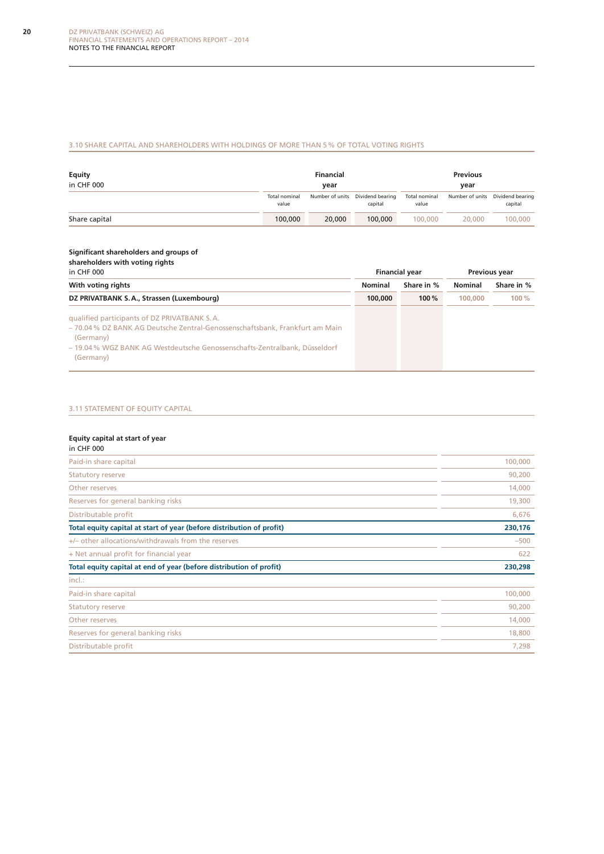#### 3.10 SHARE CAPITAL AND SHAREHOLDERS WITH HOLDINGS OF MORE THAN 5% OF TOTAL VOTING RIGHTS

| Equity<br>in CHF 000 |                        | <b>Financial</b><br>vear |                             | <b>Previous</b><br>vear |                 |                             |
|----------------------|------------------------|--------------------------|-----------------------------|-------------------------|-----------------|-----------------------------|
|                      | Total nominal<br>value | Number of units          | Dividend bearing<br>capital | Total nominal<br>value  | Number of units | Dividend bearing<br>capital |
| Share capital        | 100,000                | 20,000                   | 100,000                     | 100,000                 | 20,000          | 100,000                     |

# **Significant shareholders and groups of**

| shareholders with voting rights<br>in CHF 000                                                                                                                                                                                       |                | <b>Financial year</b> | Previous year  |            |
|-------------------------------------------------------------------------------------------------------------------------------------------------------------------------------------------------------------------------------------|----------------|-----------------------|----------------|------------|
| With voting rights                                                                                                                                                                                                                  | <b>Nominal</b> | Share in %            | <b>Nominal</b> | Share in % |
| DZ PRIVATBANK S.A., Strassen (Luxembourg)                                                                                                                                                                                           | 100,000        | 100 %                 | 100,000        | 100 %      |
| qualified participants of DZ PRIVATBANK S.A.<br>-70.04 % DZ BANK AG Deutsche Zentral-Genossenschaftsbank, Frankfurt am Main<br>(Germany)<br>- 19.04 % WGZ BANK AG Westdeutsche Genossenschafts-Zentralbank, Düsseldorf<br>(Germany) |                |                       |                |            |

# 3.11 STATEMENT OF EQUITY CAPITAL

# **Equity capital at start of year**

| in CHF 000                                                            |         |
|-----------------------------------------------------------------------|---------|
| Paid-in share capital                                                 | 100,000 |
| <b>Statutory reserve</b>                                              | 90,200  |
| Other reserves                                                        | 14,000  |
| Reserves for general banking risks                                    | 19,300  |
| Distributable profit                                                  | 6,676   |
| Total equity capital at start of year (before distribution of profit) | 230,176 |
| +/- other allocations/withdrawals from the reserves                   | $-500$  |
| + Net annual profit for financial year                                | 622     |
| Total equity capital at end of year (before distribution of profit)   | 230,298 |
| incl.:                                                                |         |
| Paid-in share capital                                                 | 100,000 |
| <b>Statutory reserve</b>                                              | 90,200  |
| Other reserves                                                        | 14,000  |
| Reserves for general banking risks                                    | 18,800  |
| Distributable profit                                                  | 7,298   |
|                                                                       |         |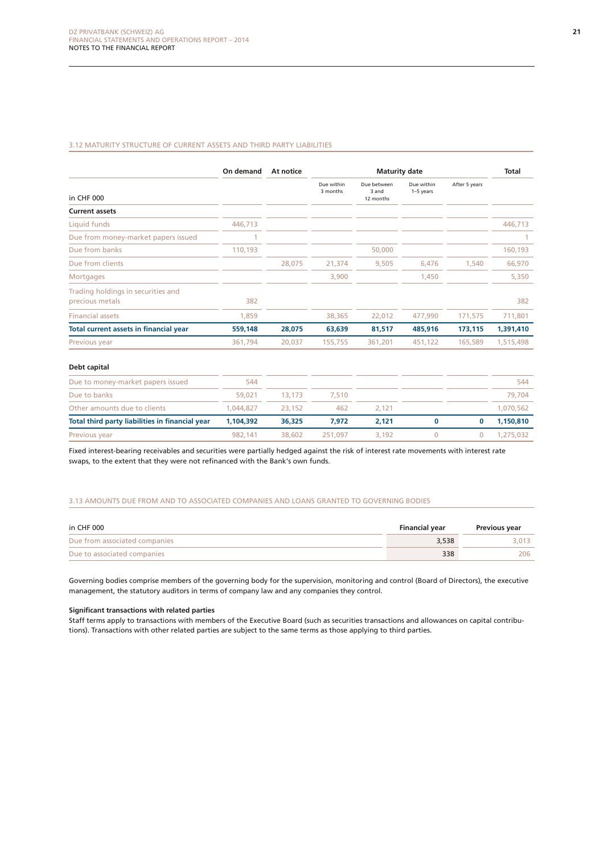#### 3.12 MATURITY STRUCTURE OF CURRENT ASSETS AND THIRD PARTY LIABILITIES

|                                                       | On demand | At notice |                        | <b>Maturity date</b>              |                         |               | <b>Total</b> |
|-------------------------------------------------------|-----------|-----------|------------------------|-----------------------------------|-------------------------|---------------|--------------|
| in CHF 000                                            |           |           | Due within<br>3 months | Due between<br>3 and<br>12 months | Due within<br>1-5 years | After 5 years |              |
| <b>Current assets</b>                                 |           |           |                        |                                   |                         |               |              |
| Liquid funds                                          | 446,713   |           |                        |                                   |                         |               | 446,713      |
| Due from money-market papers issued                   |           |           |                        |                                   |                         |               |              |
| Due from banks                                        | 110,193   |           |                        | 50,000                            |                         |               | 160,193      |
| Due from clients                                      |           | 28,075    | 21,374                 | 9,505                             | 6,476                   | 1,540         | 66,970       |
| <b>Mortgages</b>                                      |           |           | 3,900                  |                                   | 1,450                   |               | 5,350        |
| Trading holdings in securities and<br>precious metals | 382       |           |                        |                                   |                         |               | 382          |
| <b>Financial assets</b>                               | 1.859     |           | 38,365                 | 22,012                            | 477,990                 | 171,575       | 711,801      |
| Total current assets in financial year                | 559,148   | 28,075    | 63,639                 | 81,517                            | 485,916                 | 173,115       | 1,391,410    |
| Previous year                                         | 361,794   | 20,037    | 155,755                | 361,201                           | 451,122                 | 165,589       | 1,515,498    |
| Debt capital                                          |           |           |                        |                                   |                         |               |              |
| Due to money-market papers issued                     | 544       |           |                        |                                   |                         |               | 544          |
| Due to banks                                          | 59,021    | 13,173    | 7,510                  |                                   |                         |               | 79,704       |
| Other amounts due to clients                          | 1,044,827 | 23,152    | 462                    | 2,121                             |                         |               | 1,070,562    |
| Total third party liabilities in financial year       | 1,104,392 | 36,325    | 7,972                  | 2,121                             | 0                       | 0             | 1,150,810    |

Fixed interest-bearing receivables and securities were partially hedged against the risk of interest rate movements with interest rate swaps, to the extent that they were not refinanced with the Bank's own funds.

Previous year 982,141 38,602 251,097 3,192 0 0 1,275,032

#### 3.13 AMOUNTS DUE FROM AND TO ASSOCIATED COMPANIES AND LOANS GRANTED TO GOVERNING BODIES

| in CHF 000                    | <b>Financial year</b> | Previous year |
|-------------------------------|-----------------------|---------------|
| Due from associated companies | 3,538                 | 3.013         |
| Due to associated companies   | 338                   | 206           |

Governing bodies comprise members of the governing body for the supervision, monitoring and control (Board of Directors), the executive management, the statutory auditors in terms of company law and any companies they control.

#### **Significant transactions with related parties**

Staff terms apply to transactions with members of the Executive Board (such as securities transactions and allowances on capital contributions). Transactions with other related parties are subject to the same terms as those applying to third parties.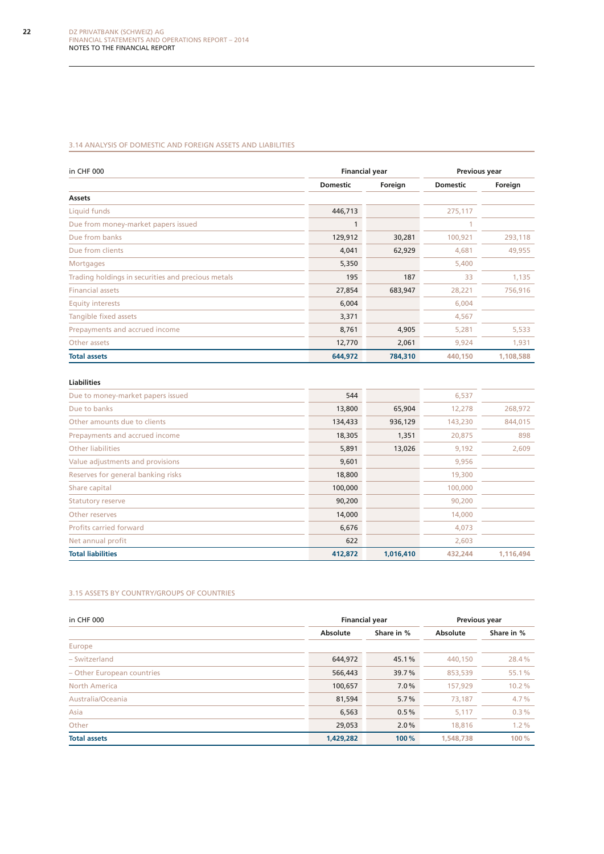#### 3.14 ANALYSIS OF DOMESTIC AND FOREIGN ASSETS AND LIABILITIES

| in CHF 000                                         | <b>Financial year</b> |         | <b>Previous year</b> |           |  |
|----------------------------------------------------|-----------------------|---------|----------------------|-----------|--|
|                                                    | <b>Domestic</b>       | Foreign | <b>Domestic</b>      | Foreign   |  |
| Assets                                             |                       |         |                      |           |  |
| Liquid funds                                       | 446,713               |         | 275,117              |           |  |
| Due from money-market papers issued                | 1                     |         | 1                    |           |  |
| Due from banks                                     | 129,912               | 30,281  | 100,921              | 293,118   |  |
| Due from clients                                   | 4,041                 | 62,929  | 4,681                | 49,955    |  |
| <b>Mortgages</b>                                   | 5,350                 |         | 5,400                |           |  |
| Trading holdings in securities and precious metals | 195                   | 187     | 33                   | 1,135     |  |
| <b>Financial assets</b>                            | 27,854                | 683,947 | 28,221               | 756,916   |  |
| <b>Equity interests</b>                            | 6,004                 |         | 6.004                |           |  |
| Tangible fixed assets                              | 3,371                 |         | 4,567                |           |  |
| Prepayments and accrued income                     | 8,761                 | 4,905   | 5,281                | 5,533     |  |
| Other assets                                       | 12,770                | 2,061   | 9,924                | 1,931     |  |
| <b>Total assets</b>                                | 644,972               | 784,310 | 440,150              | 1,108,588 |  |
|                                                    |                       |         |                      |           |  |
| <b>Liabilities</b>                                 |                       |         |                      |           |  |
| Due to money-market papers issued                  | 544                   |         | 6,537                |           |  |
| Due to banks                                       | 13,800                | 65,904  | 12,278               | 268,972   |  |
| Other amounts due to clients                       | 134,433               | 936,129 | 143,230              | 844,015   |  |
| Prepayments and accrued income                     | 18,305                | 1,351   | 20,875               | 898       |  |
| <b>Other liabilities</b>                           | 5,891                 | 13,026  | 9,192                | 2,609     |  |
| Value adjustments and provisions                   | 9,601                 |         | 9,956                |           |  |
| Reserves for general banking risks                 | 18,800                |         | 19,300               |           |  |
| Share capital                                      | 100,000               |         | 100,000              |           |  |
| <b>Statutory reserve</b>                           | 90,200                |         | 90,200               |           |  |
| Other reserves                                     | 14,000                |         | 14,000               |           |  |

## 3.15 ASSETS BY COUNTRY/GROUPS OF COUNTRIES

| in CHF 000                 | <b>Financial year</b> |            | Previous year |            |
|----------------------------|-----------------------|------------|---------------|------------|
|                            | Absolute              | Share in % | Absolute      | Share in % |
| Europe                     |                       |            |               |            |
| - Switzerland              | 644,972               | 45.1%      | 440.150       | 28.4%      |
| - Other European countries | 566,443               | 39.7%      | 853,539       | 55.1%      |
| <b>North America</b>       | 100,657               | 7.0%       | 157.929       | 10.2%      |
| Australia/Oceania          | 81,594                | 5.7%       | 73,187        | 4.7%       |
| Asia                       | 6,563                 | 0.5%       | 5,117         | 0.3%       |
| Other                      | 29,053                | 2.0%       | 18.816        | 1.2%       |
| <b>Total assets</b>        | 1,429,282             | 100 %      | 1,548,738     | 100%       |

**Total liabilities 412,872 1,016,410 432,244 1,116,494**

Profits carried forward 4,073 Net annual profit 2,603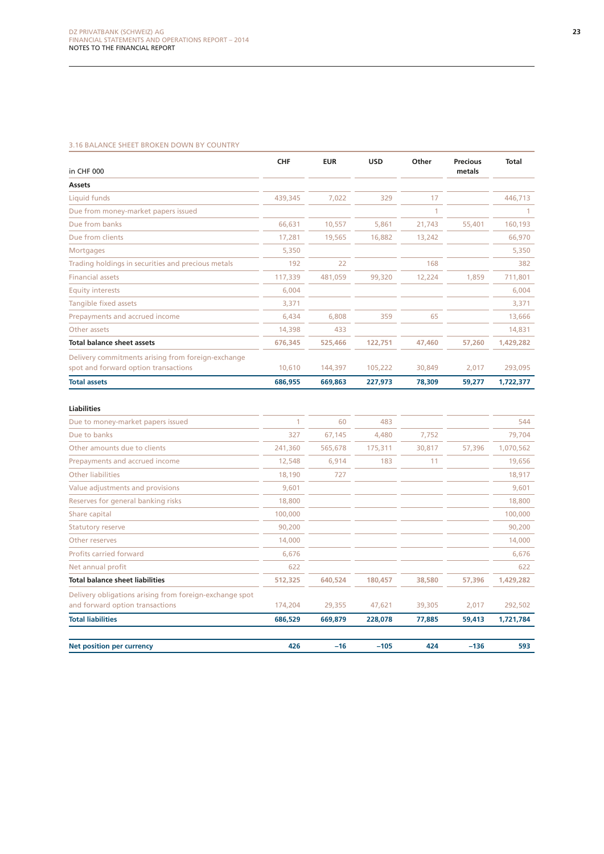#### 3.16 BALANCE SHEET BROKEN DOWN BY COUNTRY

| in CHF 000                                                                                 | <b>CHF</b>       | <b>EUR</b>       | <b>USD</b>     | Other        | <b>Precious</b><br>metals | <b>Total</b>        |
|--------------------------------------------------------------------------------------------|------------------|------------------|----------------|--------------|---------------------------|---------------------|
| Assets                                                                                     |                  |                  |                |              |                           |                     |
| Liquid funds                                                                               | 439,345          | 7,022            | 329            | 17           |                           | 446,713             |
| Due from money-market papers issued                                                        |                  |                  |                | 1            |                           | -1                  |
| Due from banks                                                                             | 66,631           | 10,557           | 5,861          | 21,743       | 55,401                    | 160,193             |
| Due from clients                                                                           | 17,281           | 19,565           | 16,882         | 13,242       |                           | 66,970              |
| <b>Mortgages</b>                                                                           | 5,350            |                  |                |              |                           | 5,350               |
| Trading holdings in securities and precious metals                                         | 192              | 22               |                | 168          |                           | 382                 |
| <b>Financial assets</b>                                                                    | 117,339          | 481,059          | 99,320         | 12,224       | 1,859                     | 711,801             |
| <b>Equity interests</b>                                                                    | 6,004            |                  |                |              |                           | 6,004               |
| Tangible fixed assets                                                                      | 3,371            |                  |                |              |                           | 3,371               |
| Prepayments and accrued income                                                             | 6,434            | 6,808            | 359            | 65           |                           | 13,666              |
| Other assets                                                                               | 14,398           | 433              |                |              |                           | 14,831              |
| <b>Total balance sheet assets</b>                                                          | 676,345          | 525,466          | 122,751        | 47,460       | 57,260                    | 1,429,282           |
| Delivery commitments arising from foreign-exchange<br>spot and forward option transactions | 10,610           | 144,397          | 105,222        | 30,849       | 2,017                     | 293,095             |
| <b>Total assets</b>                                                                        | 686,955          | 669,863          | 227,973        | 78,309       | 59,277                    | 1,722,377           |
| <b>Liabilities</b><br>Due to money-market papers issued                                    | 1                | 60               | 483            |              |                           | 544                 |
|                                                                                            |                  |                  |                | 7,752        |                           | 79,704              |
| Due to banks                                                                               | 327              | 67,145           | 4,480          |              |                           |                     |
| Other amounts due to clients                                                               | 241,360          | 565,678<br>6,914 | 175,311<br>183 | 30,817<br>11 | 57,396                    | 1,070,562<br>19,656 |
| Prepayments and accrued income<br><b>Other liabilities</b>                                 | 12,548<br>18,190 | 727              |                |              |                           | 18,917              |
| Value adjustments and provisions                                                           | 9,601            |                  |                |              |                           | 9,601               |
| Reserves for general banking risks                                                         | 18,800           |                  |                |              |                           | 18,800              |
| Share capital                                                                              | 100,000          |                  |                |              |                           | 100,000             |
| <b>Statutory reserve</b>                                                                   | 90,200           |                  |                |              |                           | 90,200              |
| Other reserves                                                                             | 14,000           |                  |                |              |                           | 14,000              |
| Profits carried forward                                                                    | 6,676            |                  |                |              |                           | 6,676               |
| Net annual profit                                                                          | 622              |                  |                |              |                           | 622                 |
| <b>Total balance sheet liabilities</b>                                                     | 512,325          | 640,524          | 180,457        | 38,580       | 57,396                    | 1,429,282           |
| Delivery obligations arising from foreign-exchange spot<br>and forward option transactions | 174,204          | 29,355           | 47,621         | 39,305       | 2,017                     | 292,502             |
| <b>Total liabilities</b>                                                                   | 686,529          | 669,879          | 228,078        | 77,885       | 59,413                    | 1,721,784           |
|                                                                                            |                  |                  |                |              |                           |                     |
| <b>Net position per currency</b>                                                           | 426              | $-16$            | $-105$         | 424          | $-136$                    | 593                 |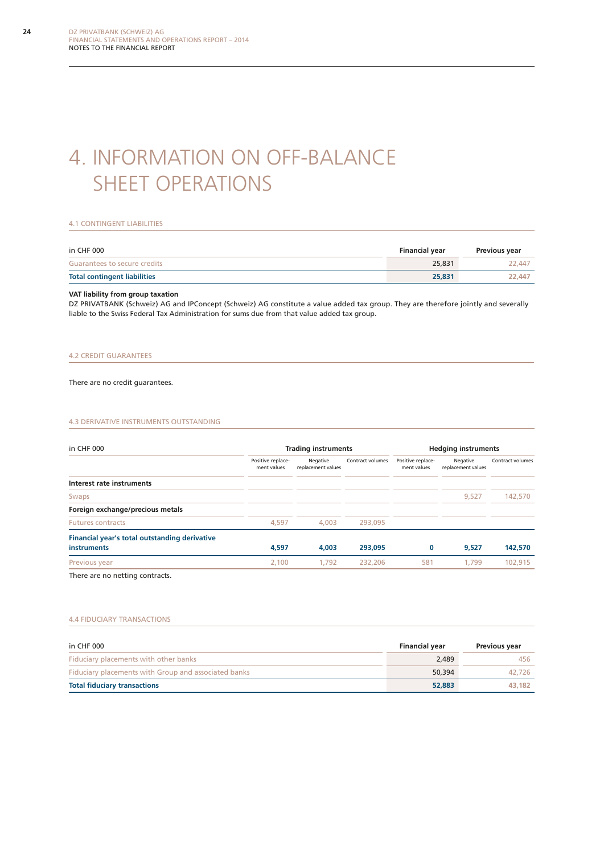# 4. INFORMATION ON OFF-BALANCE SHEET OPERATIONS

#### 4.1 CONTINGENT LIABILITIES

| in CHF 000                          | <b>Financial year</b> | Previous year |
|-------------------------------------|-----------------------|---------------|
| Guarantees to secure credits        | 25,831                | 22.447        |
| <b>Total contingent liabilities</b> | 25,831                | 22,447        |

#### **VAT liability from group taxation**

DZ PRIVATBANK (Schweiz) AG and IPConcept (Schweiz) AG constitute a value added tax group. They are therefore jointly and severally liable to the Swiss Federal Tax Administration for sums due from that value added tax group.

#### 4.2 CREDIT GUARANTEES

There are no credit guarantees.

#### 4.3 DERIVATIVE INSTRUMENTS OUTSTANDING

| in CHF 000                                    |                                  | <b>Trading instruments</b>     |                  |                                  | <b>Hedging instruments</b>     |                  |  |
|-----------------------------------------------|----------------------------------|--------------------------------|------------------|----------------------------------|--------------------------------|------------------|--|
|                                               | Positive replace-<br>ment values | Negative<br>replacement values | Contract volumes | Positive replace-<br>ment values | Negative<br>replacement values | Contract volumes |  |
| Interest rate instruments                     |                                  |                                |                  |                                  |                                |                  |  |
| Swaps                                         |                                  |                                |                  |                                  | 9.527                          | 142,570          |  |
| Foreign exchange/precious metals              |                                  |                                |                  |                                  |                                |                  |  |
| <b>Futures contracts</b>                      | 4.597                            | 4.003                          | 293.095          |                                  |                                |                  |  |
| Financial year's total outstanding derivative |                                  |                                |                  |                                  |                                |                  |  |
| <b>instruments</b>                            | 4,597                            | 4,003                          | 293,095          | 0                                | 9,527                          | 142,570          |  |
| Previous year                                 | 2,100                            | 1.792                          | 232,206          | 581                              | 1.799                          | 102,915          |  |
|                                               |                                  |                                |                  |                                  |                                |                  |  |

There are no netting contracts.

#### 4.4 FIDUCIARY TRANSACTIONS

| in CHF 000                                           | Financial year | <b>Previous year</b> |
|------------------------------------------------------|----------------|----------------------|
| Fiduciary placements with other banks                | 2.489          | 456                  |
| Fiduciary placements with Group and associated banks | 50.394         | 42.726               |
| <b>Total fiduciary transactions</b>                  | 52,883         | 43.182               |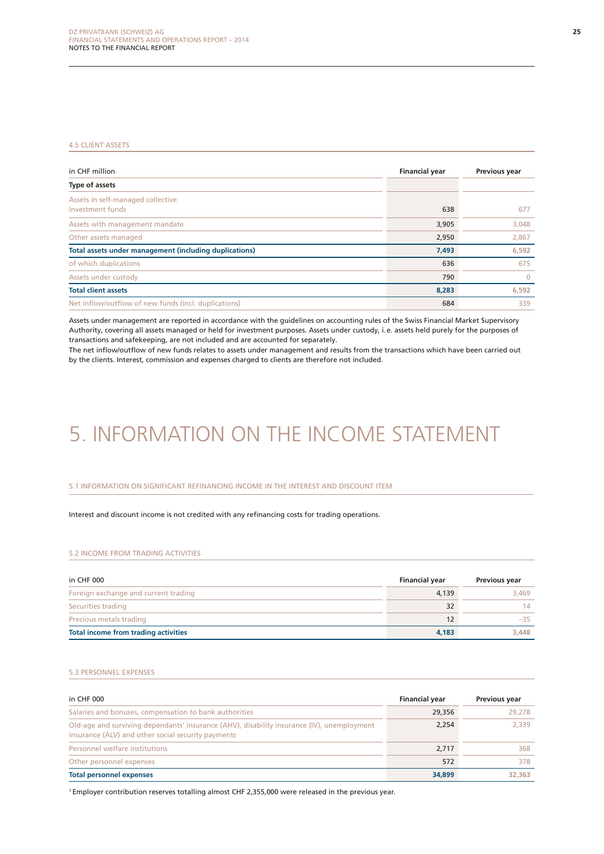#### 4.5 CLIENT ASSETS

| in CHF million                                         | <b>Financial year</b> | Previous year |
|--------------------------------------------------------|-----------------------|---------------|
| Type of assets                                         |                       |               |
| Assets in self-managed collective<br>investment funds  | 638                   | 677           |
| Assets with management mandate                         | 3,905                 | 3.048         |
| Other assets managed                                   | 2,950                 | 2,867         |
| Total assets under management (including duplications) | 7,493                 | 6,592         |
| of which duplications                                  | 636                   | 675           |
| Assets under custody                                   | 790                   | $\Omega$      |
| <b>Total client assets</b>                             | 8,283                 | 6,592         |
| Net inflow/outflow of new funds (incl. duplications)   | 684                   | 339           |

Assets under management are reported in accordance with the guidelines on accounting rules of the Swiss Financial Market Supervisory Authority, covering all assets managed or held for investment purposes. Assets under custody, i.e. assets held purely for the purposes of transactions and safekeeping, are not included and are accounted for separately.

The net inflow/outflow of new funds relates to assets under management and results from the transactions which have been carried out by the clients. Interest, commission and expenses charged to clients are therefore not included.

# 5. INFORMATION ON THE INCOME STATEMENT

#### 5.1 INFORMATION ON SIGNIFICANT REFINANCING INCOME IN THE INTEREST AND DISCOUNT ITEM

#### Interest and discount income is not credited with any refinancing costs for trading operations.

#### 5.2 INCOME FROM TRADING ACTIVITIES

| in CHF 000                           | <b>Financial year</b> | Previous year |
|--------------------------------------|-----------------------|---------------|
| Foreign exchange and current trading | 4,139                 | 3.469         |
| Securities trading                   | 32                    | 14            |
| Precious metals trading              | 12                    | $-35$         |
| Total income from trading activities | 4,183                 | 3.448         |

#### 5.3 PERSONNEL EXPENSES

| in CHF 000                                                                                                                                       | <b>Financial year</b> | Previous year |
|--------------------------------------------------------------------------------------------------------------------------------------------------|-----------------------|---------------|
| Salaries and bonuses, compensation to bank authorities                                                                                           | 29,356                | 29,278        |
| Old-age and surviving dependants' insurance (AHV), disability insurance (IV), unemployment<br>insurance (ALV) and other social security payments | 2,254                 | 2.339         |
| Personnel welfare institutions                                                                                                                   | 2,717                 | 368           |
| Other personnel expenses                                                                                                                         | 572                   | 378           |
| <b>Total personnel expenses</b>                                                                                                                  | 34,899                | 32,363        |

1 Employer contribution reserves totalling almost CHF 2,355,000 were released in the previous year.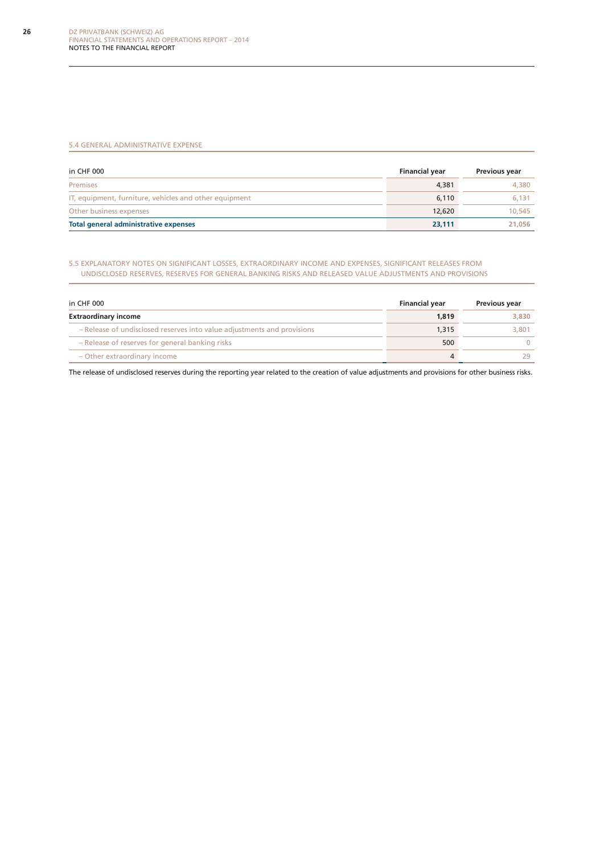#### 5.4 GENERAL ADMINISTRATIVE EXPENSE

| in CHF 000                                             | <b>Financial year</b> | <b>Previous year</b> |
|--------------------------------------------------------|-----------------------|----------------------|
| Premises                                               | 4,381                 | 4.380                |
| IT, equipment, furniture, vehicles and other equipment | 6,110                 | 6.131                |
| Other business expenses                                | 12.620                | 10.545               |
| Total general administrative expenses                  | 23,111                | 21.056               |

5.5 EXPLANATORY NOTES ON SIGNIFICANT LOSSES, EXTRAORDINARY INCOME AND EXPENSES, SIGNIFICANT RELEASES FROM UNDISCLOSED RESERVES, RESERVES FOR GENERAL BANKING RISKS AND RELEASED VALUE ADJUSTMENTS AND PROVISIONS

| in CHF 000                                                              | Financial year | Previous year |
|-------------------------------------------------------------------------|----------------|---------------|
| <b>Extraordinary income</b>                                             | 1,819          | 3,830         |
| - Release of undisclosed reserves into value adjustments and provisions | 1,315          | 3.801         |
| - Release of reserves for general banking risks                         | 500            | $\Omega$      |
| - Other extraordinary income                                            |                | 29            |

The release of undisclosed reserves during the reporting year related to the creation of value adjustments and provisions for other business risks.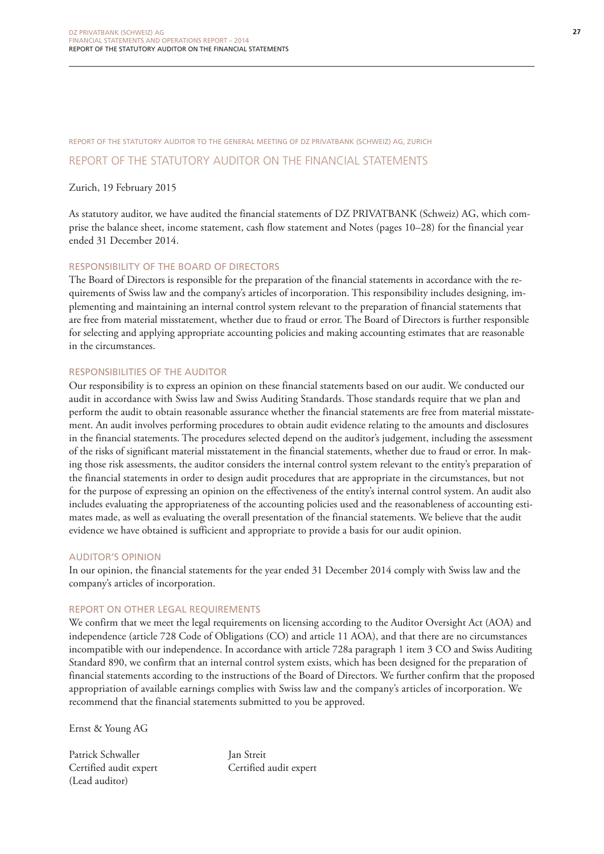REPORT OF THE STATUTORY AUDITOR TO THE GENERAL MEETING OF DZ PRIVATBANK (SCHWEIZ) AG, ZURICH

# REPORT OF THE STATUTORY AUDITOR ON THE FINANCIAL STATEMENTS

# Zurich, 19 February 2015

As statutory auditor, we have audited the financial statements of DZ PRIVATBANK (Schweiz) AG, which comprise the balance sheet, income statement, cash flow statement and Notes (pages 10–28) for the financial year ended 31 December 2014.

# RESPONSIBILITY OF THE BOARD OF DIRECTORS

The Board of Directors is responsible for the preparation of the financial statements in accordance with the requirements of Swiss law and the company's articles of incorporation. This responsibility includes designing, implementing and maintaining an internal control system relevant to the preparation of financial statements that are free from material misstatement, whether due to fraud or error. The Board of Directors is further responsible for selecting and applying appropriate accounting policies and making accounting estimates that are reasonable in the circumstances.

# RESPONSIBILITIES OF THE AUDITOR

Our responsibility is to express an opinion on these financial statements based on our audit. We conducted our audit in accordance with Swiss law and Swiss Auditing Standards. Those standards require that we plan and perform the audit to obtain reasonable assurance whether the financial statements are free from material misstatement. An audit involves performing procedures to obtain audit evidence relating to the amounts and disclosures in the financial statements. The procedures selected depend on the auditor's judgement, including the assessment of the risks of significant material misstatement in the financial statements, whether due to fraud or error. In making those risk assessments, the auditor considers the internal control system relevant to the entity's preparation of the financial statements in order to design audit procedures that are appropriate in the circumstances, but not for the purpose of expressing an opinion on the effectiveness of the entity's internal control system. An audit also includes evaluating the appropriateness of the accounting policies used and the reasonableness of accounting estimates made, as well as evaluating the overall presentation of the financial statements. We believe that the audit evidence we have obtained is sufficient and appropriate to provide a basis for our audit opinion.

# AUDITOR'S OPINION

In our opinion, the financial statements for the year ended 31 December 2014 comply with Swiss law and the company's articles of incorporation.

# REPORT ON OTHER LEGAL REQUIREMENTS

We confirm that we meet the legal requirements on licensing according to the Auditor Oversight Act (AOA) and independence (article 728 Code of Obligations (CO) and article 11 AOA), and that there are no circumstances incompatible with our independence. In accordance with article 728a paragraph 1 item 3 CO and Swiss Auditing Standard 890, we confirm that an internal control system exists, which has been designed for the preparation of financial statements according to the instructions of the Board of Directors. We further confirm that the proposed appropriation of available earnings complies with Swiss law and the company's articles of incorporation. We recommend that the financial statements submitted to you be approved.

Ernst & Young AG

Patrick Schwaller Jan Streit (Lead auditor)

Certified audit expert Certified audit expert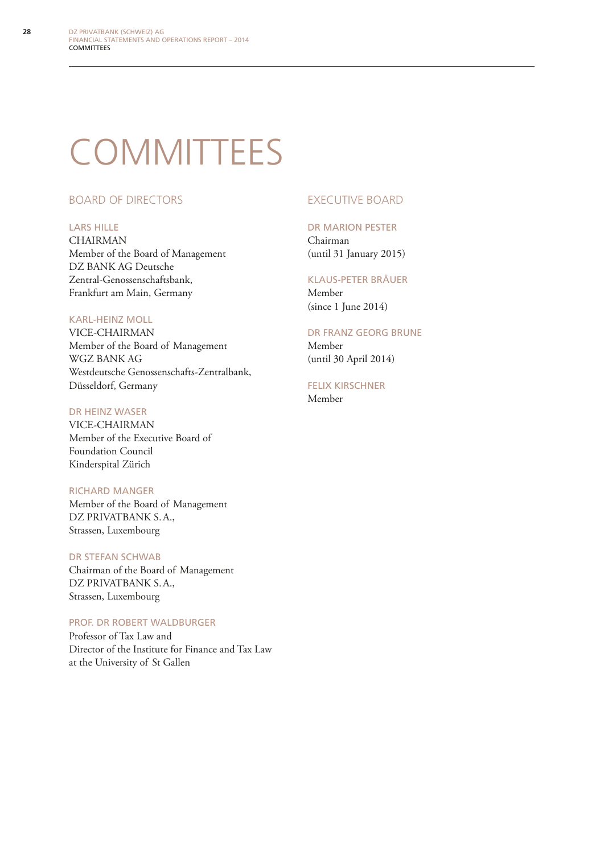# **COMMITTEES**

# BOARD OF DIRECTORS

# LARS HILLE

CHAIRMAN Member of the Board of Management DZ BANK AG Deutsche Zentral-Genossenschaftsbank, Frankfurt am Main, Germany

# KARL-HEINZ MOLL

VICE-CHAIRMAN Member of the Board of Management WGZ BANK AG Westdeutsche Genossenschafts-Zentralbank, Düsseldorf, Germany

# DR HEINZ WASER

VICE-CHAIRMAN Member of the Executive Board of Foundation Council Kinderspital Zürich

### RICHARD MANGER

Member of the Board of Management DZ PRIVATBANK S.A., Strassen, Luxembourg

# DR STEFAN SCHWAB

Chairman of the Board of Management DZ PRIVATBANK S.A., Strassen, Luxembourg

# PROF. DR ROBERT WALDBURGER

Professor of Tax Law and Director of the Institute for Finance and Tax Law at the University of St Gallen

# EXECUTIVE BOARD

# DR MARION PESTER

Chairman (until 31 January 2015)

### KLAUS-PETER BRÄUER

Member (since 1 June 2014)

# DR FRANZ GEORG BRUNE

Member (until 30 April 2014)

# FELIX KIRSCHNER Member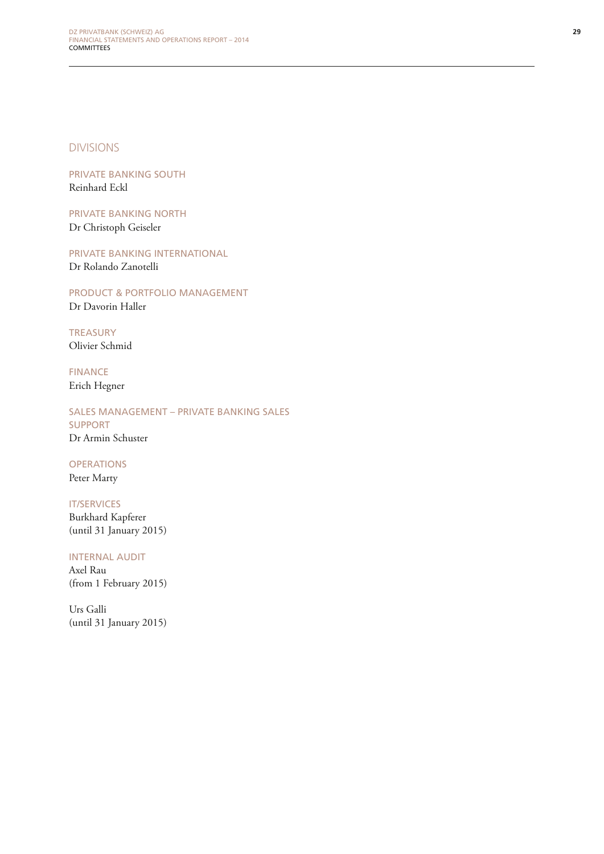# DIVISIONS

PRIVATE BANKING SOUTH Reinhard Eckl

PRIVATE BANKING NORTH Dr Christoph Geiseler

PRIVATE BANKING INTERNATIONAL Dr Rolando Zanotelli

PRODUCT & PORTFOLIO MANAGEMENT Dr Davorin Haller

**TREASURY** Olivier Schmid

FINANCE Erich Hegner

SALES MANAGEMENT – PRIVATE BANKING SALES SUPPORT Dr Armin Schuster

**OPERATIONS** Peter Marty

# IT/SERVICES

Burkhard Kapferer (until 31 January 2015)

# INTERNAL AUDIT

Axel Rau (from 1 February 2015)

Urs Galli (until 31 January 2015)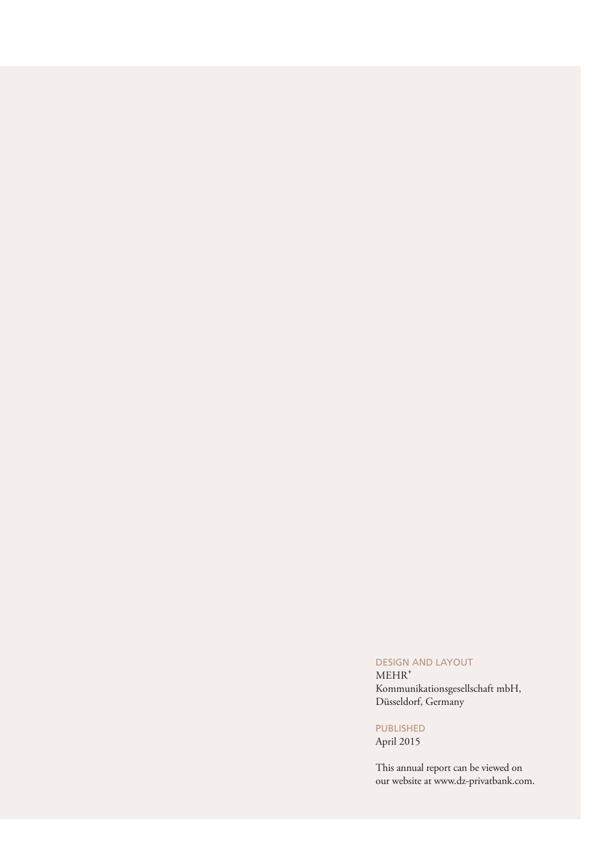# DESIGN AND LAYOUT

 $\text{MEHR}^+$ Kommunikationsgesellschaft mbH, Düsseldorf, Germany

# PUBLISHED

April 2015

This annual report can be viewed on our website at www.dz-privatbank.com.